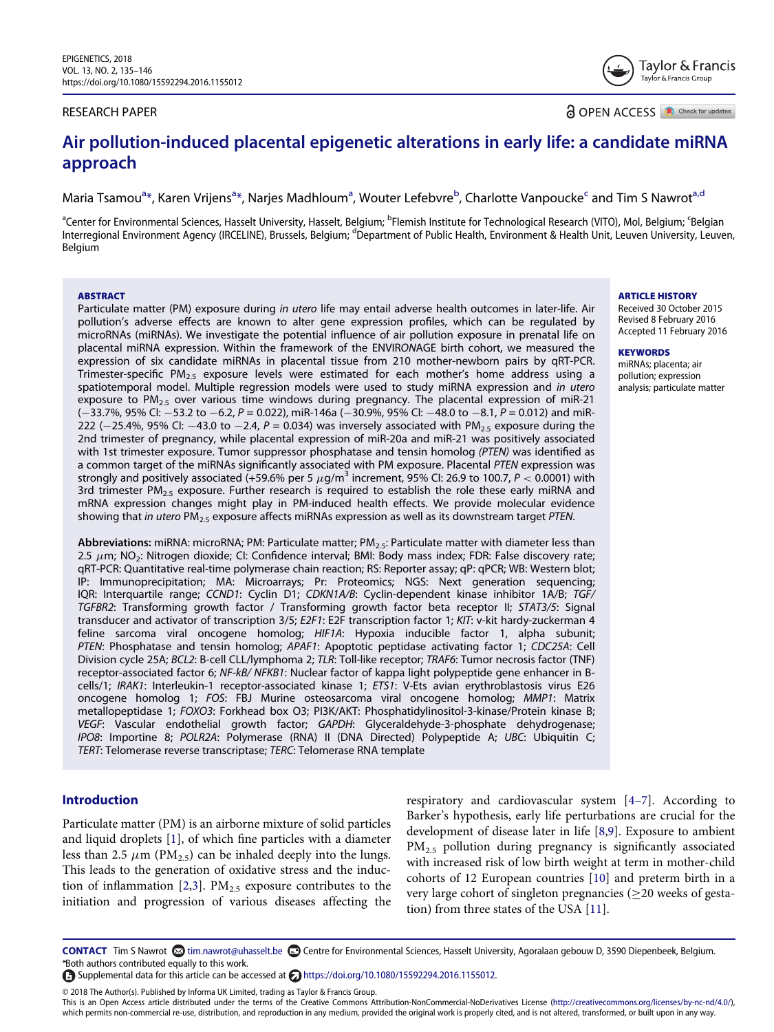## RESEARCH PAPER

**a** OPEN ACCESS **a** Check for updates

# Air pollution-induced placental epigenetic alterations in early life: a candidate miRNA approach

M[a](#page-0-0)ria Tsamou<sup>a</sup>[\\*,](#page-0-1) Karen Vrijens<sup>a</sup>\*, Narjes Madhloum<sup>a</sup>, Wouter Lef[eb](#page-0-0)vre<sup>b</sup>, Charlotte Vanpou[c](#page-0-0)ke<sup>c</sup> and Tim S Nawrot<sup>a[,d](#page-0-2)</sup>

<span id="page-0-2"></span><span id="page-0-0"></span><sup>a</sup>Center for Environmental Sciences, Hasselt University, Hasselt, Belgium; <sup>b</sup>Flemish Institute for Technological Research (VITO), Mol, Belgium; <sup>c</sup>Belgian Interregional Environment Agency (IRCELINE), Brussels, Belgium; <sup>d</sup>Department of Public Health, Environment & Health Unit, Leuven University, Leuven, Belgium

#### ABSTRACT

Particulate matter (PM) exposure during in utero life may entail adverse health outcomes in later-life. Air pollution's adverse effects are known to alter gene expression profiles, which can be regulated by microRNAs (miRNAs). We investigate the potential influence of air pollution exposure in prenatal life on placental miRNA expression. Within the framework of the ENVIRONAGE birth cohort, we measured the expression of six candidate miRNAs in placental tissue from 210 mother-newborn pairs by qRT-PCR. Trimester-specific  $PM_{2.5}$  exposure levels were estimated for each mother's home address using a spatiotemporal model. Multiple regression models were used to study miRNA expression and in utero exposure to  $PM_{2.5}$  over various time windows during pregnancy. The placental expression of miR-21  $(-33.7\%$ , 95% CI:  $-53.2$  to  $-6.2$ ,  $P = 0.022$ ), miR-146a ( $-30.9\%$ , 95% CI:  $-48.0$  to  $-8.1$ ,  $P = 0.012$ ) and miR-222 ( $-25.4\%$ , 95% CI:  $-43.0$  to  $-2.4$ ,  $P = 0.034$ ) was inversely associated with PM<sub>2.5</sub> exposure during the 2nd trimester of pregnancy, while placental expression of miR-20a and miR-21 was positively associated with 1st trimester exposure. Tumor suppressor phosphatase and tensin homolog (PTEN) was identified as a common target of the miRNAs significantly associated with PM exposure. Placental PTEN expression was strongly and positively associated (+59.6% per 5  $\mu$ g/m<sup>3</sup> increment, 95% CI: 26.9 to 100.7, P < 0.0001) with 3rd trimester PM<sub>2.5</sub> exposure. Further research is required to establish the role these early miRNA and mRNA expression changes might play in PM-induced health effects. We provide molecular evidence showing that in utero PM<sub>2.5</sub> exposure affects miRNAs expression as well as its downstream target PTEN.

Abbreviations: miRNA: microRNA; PM: Particulate matter; PM<sub>2.5</sub>: Particulate matter with diameter less than 2.5  $\mu$ m; NO<sub>2</sub>: Nitrogen dioxide; CI: Confidence interval; BMI: Body mass index; FDR: False discovery rate; qRT-PCR: Quantitative real-time polymerase chain reaction; RS: Reporter assay; qP: qPCR; WB: Western blot; IP: Immunoprecipitation; MA: Microarrays; Pr: Proteomics; NGS: Next generation sequencing; IQR: Interquartile range; CCND1: Cyclin D1; CDKN1A/B: Cyclin-dependent kinase inhibitor 1A/B; TGF/ TGFBR2: Transforming growth factor / Transforming growth factor beta receptor II; STAT3/5: Signal transducer and activator of transcription 3/5; E2F1: E2F transcription factor 1; KIT: v-kit hardy-zuckerman 4 feline sarcoma viral oncogene homolog; HIF1A: Hypoxia inducible factor 1, alpha subunit; PTEN: Phosphatase and tensin homolog; APAF1: Apoptotic peptidase activating factor 1; CDC25A: Cell Division cycle 25A; BCL2: B-cell CLL/lymphoma 2; TLR: Toll-like receptor; TRAF6: Tumor necrosis factor (TNF) receptor-associated factor 6; NF-kB/ NFKB1: Nuclear factor of kappa light polypeptide gene enhancer in Bcells/1; IRAK1: Interleukin-1 receptor-associated kinase 1; ETS1: V-Ets avian erythroblastosis virus E26 oncogene homolog 1; FOS: FBJ Murine osteosarcoma viral oncogene homolog; MMP1: Matrix metallopeptidase 1; FOXO3: Forkhead box O3; PI3K/AKT: Phosphatidylinositol-3-kinase/Protein kinase B; VEGF: Vascular endothelial growth factor; GAPDH: Glyceraldehyde-3-phosphate dehydrogenase; IPO8: Importine 8; POLR2A: Polymerase (RNA) II (DNA Directed) Polypeptide A; UBC: Ubiquitin C; TERT: Telomerase reverse transcriptase; TERC: Telomerase RNA template

# <span id="page-0-5"></span>Introduction

<span id="page-0-7"></span><span id="page-0-6"></span><span id="page-0-4"></span><span id="page-0-3"></span>Particulate matter (PM) is an airborne mixture of solid particles and liquid droplets [[1\]](#page-10-0), of which fine particles with a diameter less than 2.5  $\mu$ m (PM<sub>2.5</sub>) can be inhaled deeply into the lungs. This leads to the generation of oxidative stress and the induc-tion of inflammation [\[2](#page-10-1)[,3](#page-10-2)].  $PM_{2.5}$  exposure contributes to the initiation and progression of various diseases affecting the

respiratory and cardiovascular system [\[4](#page-10-3)–7]. According to Barker's hypothesis, early life perturbations are crucial for the development of disease later in life [\[8](#page-10-4)[,9](#page-10-5)]. Exposure to ambient PM<sub>2.5</sub> pollution during pregnancy is significantly associated with increased risk of low birth weight at term in mother-child cohorts of 12 European countries [\[10\]](#page-10-6) and preterm birth in a very large cohort of singleton pregnancies ( $\geq$ 20 weeks of gestation) from three states of the USA [[11](#page-10-7)].

<span id="page-0-8"></span>CONTACT Tim S Nawrot @ [tim.nawrot@uhasselt.be](mailto:tim.nawrot@uhasselt.be) contre for Environmental Sciences, Hasselt University, Agoralaan gebouw D, 3590 Diepenbeek, Belgium. \*Both authors contributed equally to this work.

© 2018 The Author(s). Published by Informa UK Limited, trading as Taylor & Francis Group.

This is an Open Access article distributed under the terms of the Creative Commons Attribution-NonCommercial-NoDerivatives License [\(http://creativecommons.org/licenses/by-nc-nd/4.0/\)](http://creativecommons.org/licenses/by-nc-nd/4.0/), which permits non-commercial re-use, distribution, and reproduction in any medium, provided the original work is properly cited, and is not altered, transformed, or built upon in any way.

#### ARTICLE HISTORY

Received 30 October 2015 Revised 8 February 2016 Accepted 11 February 2016

#### **KEYWORDS**

miRNAs; placenta; air pollution; expression analysis; particulate matter



<span id="page-0-1"></span> $\bigoplus$  Supplemental data for this article can be accessed at  $\bigodot$  [https://doi.org/10.1080/15592294.2016.1155012.](https://doi.org/10.1080/15592294.2016.1155012)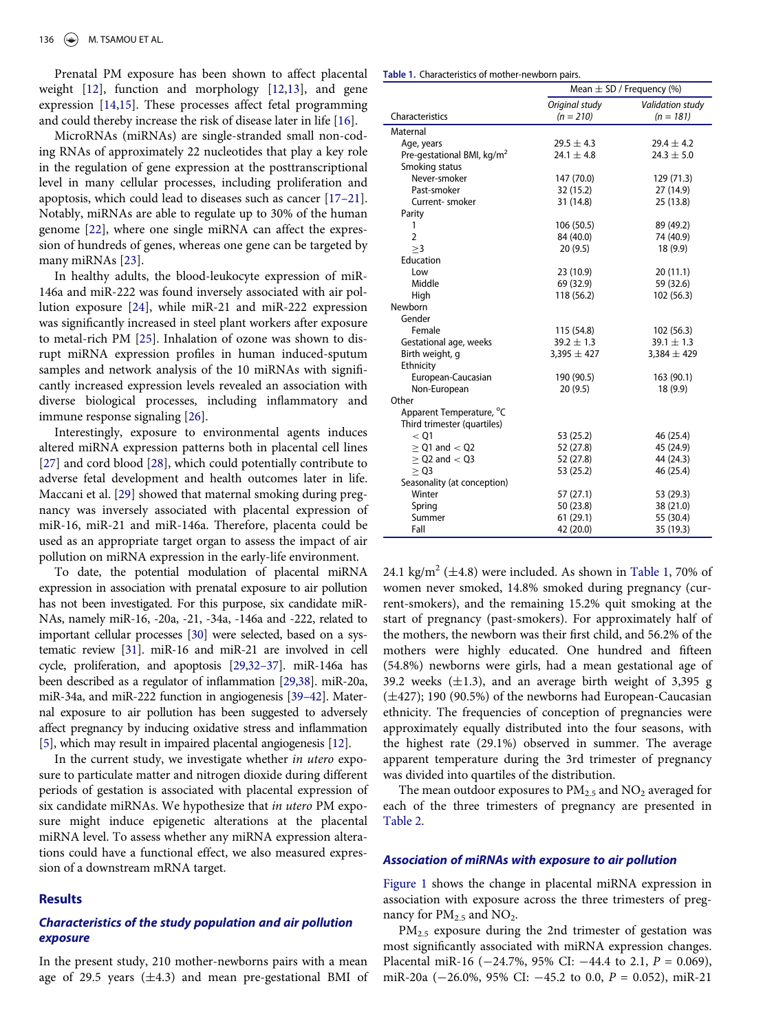<span id="page-1-3"></span><span id="page-1-2"></span><span id="page-1-0"></span>Prenatal PM exposure has been shown to affect placental weight [\[12\]](#page-10-8), function and morphology [[12](#page-10-8)[,13](#page-10-9)], and gene expression [[14](#page-10-10)[,15\]](#page-10-11). These processes affect fetal programming and could thereby increase the risk of disease later in life [\[16\]](#page-10-12).

<span id="page-1-5"></span><span id="page-1-4"></span>MicroRNAs (miRNAs) are single-stranded small non-coding RNAs of approximately 22 nucleotides that play a key role in the regulation of gene expression at the posttranscriptional level in many cellular processes, including proliferation and apoptosis, which could lead to diseases such as cancer [\[17](#page-10-13)–21]. Notably, miRNAs are able to regulate up to 30% of the human genome [\[22\]](#page-10-14), where one single miRNA can affect the expression of hundreds of genes, whereas one gene can be targeted by many miRNAs [\[23\]](#page-10-15).

<span id="page-1-9"></span><span id="page-1-8"></span><span id="page-1-7"></span><span id="page-1-6"></span>In healthy adults, the blood-leukocyte expression of miR-146a and miR-222 was found inversely associated with air pollution exposure [[24](#page-10-16)], while miR-21 and miR-222 expression was significantly increased in steel plant workers after exposure to metal-rich PM [\[25\]](#page-10-17). Inhalation of ozone was shown to disrupt miRNA expression profiles in human induced-sputum samples and network analysis of the 10 miRNAs with significantly increased expression levels revealed an association with diverse biological processes, including inflammatory and immune response signaling [[26](#page-10-18)].

<span id="page-1-11"></span><span id="page-1-10"></span>Interestingly, exposure to environmental agents induces altered miRNA expression patterns both in placental cell lines [\[27\]](#page-10-19) and cord blood [[28\]](#page-10-20), which could potentially contribute to adverse fetal development and health outcomes later in life. Maccani et al. [[29](#page-10-21)] showed that maternal smoking during pregnancy was inversely associated with placental expression of miR-16, miR-21 and miR-146a. Therefore, placenta could be used as an appropriate target organ to assess the impact of air pollution on miRNA expression in the early-life environment.

<span id="page-1-15"></span><span id="page-1-14"></span><span id="page-1-13"></span>To date, the potential modulation of placental miRNA expression in association with prenatal exposure to air pollution has not been investigated. For this purpose, six candidate miR-NAs, namely miR-16, -20a, -21, -34a, -146a and -222, related to important cellular processes [[30](#page-10-22)] were selected, based on a systematic review [\[31](#page-10-23)]. miR-16 and miR-21 are involved in cell cycle, proliferation, and apoptosis [\[29](#page-10-21)[,32](#page-10-24)–37]. miR-146a has been described as a regulator of inflammation [\[29,](#page-10-21)[38](#page-11-0)]. miR-20a, miR-34a, and miR-222 function in angiogenesis [\[39](#page-11-1)–42]. Maternal exposure to air pollution has been suggested to adversely affect pregnancy by inducing oxidative stress and inflammation [\[5\]](#page-10-25), which may result in impaired placental angiogenesis [\[12](#page-10-8)].

<span id="page-1-16"></span><span id="page-1-12"></span><span id="page-1-1"></span>In the current study, we investigate whether in utero exposure to particulate matter and nitrogen dioxide during different periods of gestation is associated with placental expression of six candidate miRNAs. We hypothesize that in utero PM exposure might induce epigenetic alterations at the placental miRNA level. To assess whether any miRNA expression alterations could have a functional effect, we also measured expression of a downstream mRNA target.

# Results

# Characteristics of the study population and air pollution exposure

In the present study, 210 mother-newborns pairs with a mean age of 29.5 years  $(\pm 4.3)$  and mean pre-gestational BMI of

Table 1. Characteristics of mother-newborn pairs.

|                                        | Mean $\pm$ SD / Frequency (%) |                         |  |
|----------------------------------------|-------------------------------|-------------------------|--|
|                                        | Original study                | <b>Validation study</b> |  |
| Characteristics                        | $(n = 210)$                   | $(n = 181)$             |  |
| Maternal                               |                               |                         |  |
| Age, years                             | $29.5 \pm 4.3$                | $29.4 \pm 4.2$          |  |
| Pre-gestational BMI, kg/m <sup>2</sup> | 24.1 $\pm$ 4.8                | $24.3 \pm 5.0$          |  |
| Smoking status                         |                               |                         |  |
| Never-smoker                           | 147 (70.0)                    | 129 (71.3)              |  |
| Past-smoker                            | 32 (15.2)                     | 27 (14.9)               |  |
| Current-smoker                         | 31 (14.8)                     | 25 (13.8)               |  |
| Parity                                 |                               |                         |  |
| 1                                      | 106 (50.5)                    | 89 (49.2)               |  |
| $\overline{2}$                         | 84 (40.0)                     | 74 (40.9)               |  |
| >3                                     | 20(9.5)                       | 18 (9.9)                |  |
| Education                              |                               |                         |  |
| Low                                    | 23 (10.9)                     | 20(11.1)                |  |
| Middle                                 | 69 (32.9)                     | 59 (32.6)               |  |
| High                                   | 118 (56.2)                    | 102 (56.3)              |  |
| Newborn                                |                               |                         |  |
| Gender                                 |                               |                         |  |
| Female                                 | 115 (54.8)                    | 102(56.3)               |  |
| Gestational age, weeks                 | $39.2 \pm 1.3$                | $39.1 \pm 1.3$          |  |
| Birth weight, g                        | $3,395 \pm 427$               | $3,384 \pm 429$         |  |
| Ethnicity                              |                               |                         |  |
| European-Caucasian                     | 190 (90.5)                    | 163 (90.1)              |  |
| Non-European                           | 20 (9.5)                      | 18 (9.9)                |  |
| Other                                  |                               |                         |  |
| Apparent Temperature, °C               |                               |                         |  |
| Third trimester (quartiles)            |                               |                         |  |
| < 01                                   | 53 (25.2)                     | 46 (25.4)               |  |
| $\ge$ Q1 and $<$ Q2                    | 52 (27.8)                     | 45 (24.9)               |  |
| $\ge$ Q2 and $<$ Q3                    | 52 (27.8)                     | 44 (24.3)               |  |
| $\geq$ Q3                              | 53 (25.2)                     | 46 (25.4)               |  |
| Seasonality (at conception)            |                               |                         |  |
| Winter                                 | 57 (27.1)                     | 53 (29.3)               |  |
| Spring                                 | 50 (23.8)                     | 38 (21.0)               |  |
| Summer                                 | 61(29.1)                      | 55 (30.4)               |  |
| Fall                                   | 42 (20.0)                     | 35 (19.3)               |  |

24.1 kg/m<sup>2</sup> ( $\pm$ 4.8) were included. As shown in [Table 1](#page-1-0), 70% of women never smoked, 14.8% smoked during pregnancy (current-smokers), and the remaining 15.2% quit smoking at the start of pregnancy (past-smokers). For approximately half of the mothers, the newborn was their first child, and 56.2% of the mothers were highly educated. One hundred and fifteen (54.8%) newborns were girls, had a mean gestational age of 39.2 weeks  $(\pm 1.3)$ , and an average birth weight of 3,395 g  $(\pm 427)$ ; 190 (90.5%) of the newborns had European-Caucasian ethnicity. The frequencies of conception of pregnancies were approximately equally distributed into the four seasons, with the highest rate (29.1%) observed in summer. The average apparent temperature during the 3rd trimester of pregnancy was divided into quartiles of the distribution.

The mean outdoor exposures to  $PM<sub>2.5</sub>$  and  $NO<sub>2</sub>$  averaged for each of the three trimesters of pregnancy are presented in [Table 2](#page-2-0).

### Association of miRNAs with exposure to air pollution

[Figure 1](#page-2-1) shows the change in placental miRNA expression in association with exposure across the three trimesters of pregnancy for  $PM_{2.5}$  and  $NO_2$ .

PM2.5 exposure during the 2nd trimester of gestation was most significantly associated with miRNA expression changes. Placental miR-16 ( $-24.7\%$ , 95% CI:  $-44.4$  to 2.1,  $P = 0.069$ ), miR-20a ( $-26.0\%$ , 95% CI:  $-45.2$  to 0.0,  $P = 0.052$ ), miR-21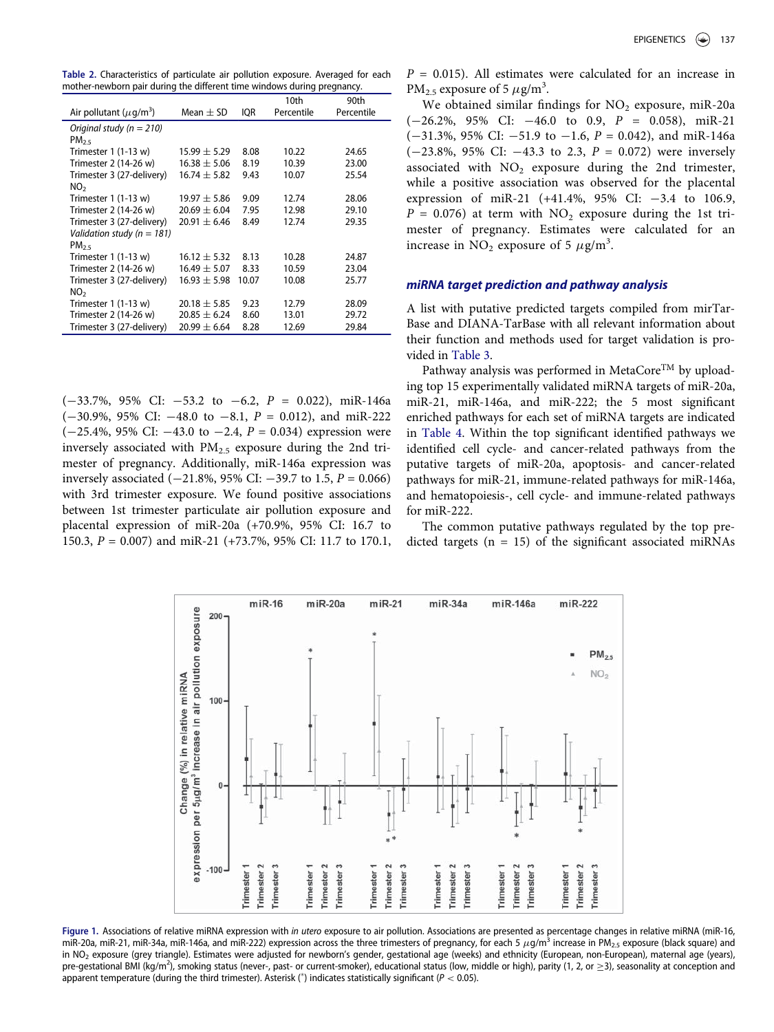<span id="page-2-0"></span>Table 2. Characteristics of particulate air pollution exposure. Averaged for each mother-newborn pair during the different time windows during pregnancy.

|                                          |                  |       | 10th       | 90th       |
|------------------------------------------|------------------|-------|------------|------------|
| Air pollutant ( $\mu$ q/m <sup>3</sup> ) | Mean $+$ SD      | ior   | Percentile | Percentile |
| Original study ( $n = 210$ )             |                  |       |            |            |
| $PM_{25}$                                |                  |       |            |            |
| Trimester $1(1-13 w)$                    | $15.99 \pm 5.29$ | 8.08  | 10.22      | 24.65      |
| Trimester 2 (14-26 w)                    | $16.38 \pm 5.06$ | 8.19  | 10.39      | 23.00      |
| Trimester 3 (27-delivery)                | $16.74 \pm 5.82$ | 9.43  | 10.07      | 25.54      |
| NO <sub>2</sub>                          |                  |       |            |            |
| Trimester $1(1-13 w)$                    | $19.97 + 5.86$   | 9.09  | 12.74      | 28.06      |
| Trimester 2 (14-26 w)                    | $20.69 \pm 6.04$ | 7.95  | 12.98      | 29.10      |
| Trimester 3 (27-delivery)                | $20.91 \pm 6.46$ | 8.49  | 12.74      | 29.35      |
| Validation study ( $n = 181$ )           |                  |       |            |            |
| $PM_{25}$                                |                  |       |            |            |
| Trimester $1(1-13 w)$                    | $16.12 + 5.32$   | 8.13  | 10.28      | 24.87      |
| Trimester 2 (14-26 w)                    | $16.49 \pm 5.07$ | 8.33  | 10.59      | 23.04      |
| Trimester 3 (27-delivery)                | $16.93 \pm 5.98$ | 10.07 | 10.08      | 25.77      |
| NO <sub>2</sub>                          |                  |       |            |            |
| Trimester $1(1-13 w)$                    | $20.18 \pm 5.85$ | 9.23  | 12.79      | 28.09      |
| Trimester 2 (14-26 w)                    | $20.85 \pm 6.24$ | 8.60  | 13.01      | 29.72      |
| Trimester 3 (27-delivery)                | $20.99 \pm 6.64$ | 8.28  | 12.69      | 29.84      |

 $(-33.7\%, 95\% \text{ CI: } -53.2 \text{ to } -6.2, P = 0.022)$ , miR-146a  $(-30.9\%, 95\% \text{ CI: } -48.0 \text{ to } -8.1, P = 0.012)$ , and miR-222  $(-25.4\%, 95\% \text{ CI: } -43.0 \text{ to } -2.4, P = 0.034)$  expression were inversely associated with  $PM_{2.5}$  exposure during the 2nd trimester of pregnancy. Additionally, miR-146a expression was inversely associated  $(-21.8\%, 95\% \text{ CI: } -39.7 \text{ to } 1.5, P = 0.066)$ with 3rd trimester exposure. We found positive associations between 1st trimester particulate air pollution exposure and placental expression of miR-20a (+70.9%, 95% CI: 16.7 to 150.3, P = 0.007) and miR-21 (+73.7%, 95% CI: 11.7 to 170.1,  $P = 0.015$ ). All estimates were calculated for an increase in PM<sub>2.5</sub> exposure of 5  $\mu$ g/m<sup>3</sup>.

We obtained similar findings for  $NO<sub>2</sub>$  exposure, miR-20a  $(-26.2\%, 95\% \text{ CI:} -46.0 \text{ to } 0.9, P = 0.058), \text{ mi}R-21$  $(-31.3\%, 95\% \text{ CI: } -51.9 \text{ to } -1.6, P = 0.042)$ , and miR-146a  $(-23.8\%, 95\% \text{ CI: } -43.3 \text{ to } 2.3, P = 0.072)$  were inversely associated with  $NO<sub>2</sub>$  exposure during the 2nd trimester, while a positive association was observed for the placental expression of miR-21 (+41.4%, 95% CI:  $-3.4$  to 106.9,  $P = 0.076$ ) at term with NO<sub>2</sub> exposure during the 1st trimester of pregnancy. Estimates were calculated for an increase in  $NO<sub>2</sub>$  exposure of 5  $\mu$ g/m<sup>3</sup>.

## miRNA target prediction and pathway analysis

A list with putative predicted targets compiled from mirTar-Base and DIANA-TarBase with all relevant information about their function and methods used for target validation is provided in [Table 3.](#page-3-0)

Pathway analysis was performed in MetaCore<sup>TM</sup> by uploading top 15 experimentally validated miRNA targets of miR-20a, miR-21, miR-146a, and miR-222; the 5 most significant enriched pathways for each set of miRNA targets are indicated in [Table 4](#page-5-0). Within the top significant identified pathways we identified cell cycle- and cancer-related pathways from the putative targets of miR-20a, apoptosis- and cancer-related pathways for miR-21, immune-related pathways for miR-146a, and hematopoiesis-, cell cycle- and immune-related pathways for miR-222.

The common putative pathways regulated by the top predicted targets  $(n = 15)$  of the significant associated miRNAs

<span id="page-2-1"></span>

Figure 1. Associations of relative miRNA expression with in utero exposure to air pollution. Associations are presented as percentage changes in relative miRNA (miR-16, miR-20a, miR-21, miR-34a, miR-146a, and miR-222) expression across the three trimesters of pregnancy, for each 5  $\mu$ g/m<sup>3</sup> increase in PM<sub>2.5</sub> exposure (black square) and in NO<sub>2</sub> exposure (grey triangle). Estimates were adjusted for newborn's gender, gestational age (weeks) and ethnicity (European, non-European), maternal age (years), pre-gestational BMI (kg/m<sup>2</sup>), smoking status (never-, past- or current-smoker), educational status (low, middle or high), parity (1, 2, or  $\geq$ 3), seasonality at conception and apparent temperature (during the third trimester). Asterisk (\*) indicates statistically significant ( $P < 0.05$ ).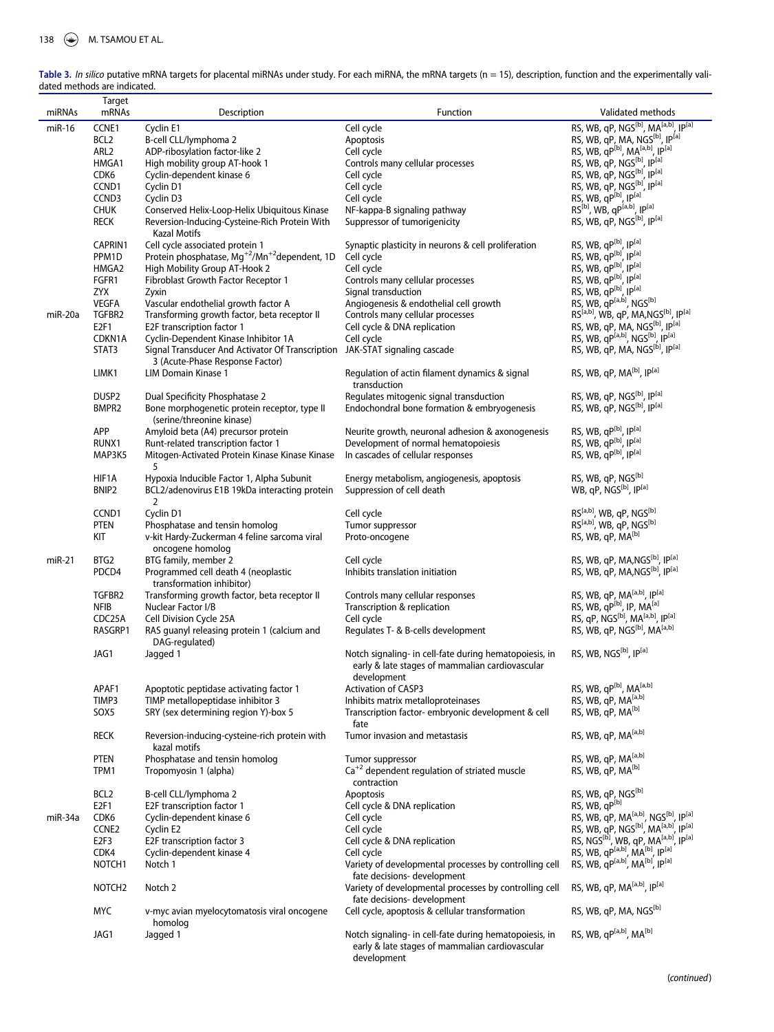|           | Target                   |                                                                             |                                                                                                           |                                                                                                                    |
|-----------|--------------------------|-----------------------------------------------------------------------------|-----------------------------------------------------------------------------------------------------------|--------------------------------------------------------------------------------------------------------------------|
| miRNAs    | mRNAs                    | Description                                                                 | Function                                                                                                  | Validated methods                                                                                                  |
| miR-16    | CCNE1                    | Cyclin E1                                                                   | Cell cycle                                                                                                | RS, WB, qP, NGS <sup>[b]</sup> , MA <sup>[a,b]</sup> , IP <sup>[a]</sup>                                           |
|           | BCL <sub>2</sub>         | B-cell CLL/lymphoma 2                                                       | Apoptosis                                                                                                 | RS, WB, qP, MA, NGS <sup>[b]</sup> , IP <sup>[a]</sup>                                                             |
|           | ARL <sub>2</sub>         | ADP-ribosylation factor-like 2                                              | Cell cycle                                                                                                | RS, WB, qP <sup>[b]</sup> , MA <sup>[a,b]</sup> , IP <sup>[a]</sup>                                                |
|           | HMGA1                    | High mobility group AT-hook 1                                               | Controls many cellular processes                                                                          | RS, WB, qP, NGS <sup>[b]</sup> , IP <sup>[a]</sup>                                                                 |
|           | CDK6                     | Cyclin-dependent kinase 6                                                   | Cell cycle                                                                                                | RS, WB, qP, NGS <sup>[b]</sup> , IP <sup>[a]</sup>                                                                 |
|           | CCND1                    | Cyclin D1                                                                   | Cell cycle                                                                                                | RS, WB, qP, NGS <sup>[b]</sup> , IP <sup>[a]</sup>                                                                 |
|           | CCND3                    | Cyclin D3                                                                   | Cell cycle                                                                                                | RS, WB, qP[b], IP[a]                                                                                               |
|           | <b>CHUK</b>              | Conserved Helix-Loop-Helix Ubiquitous Kinase                                | NF-kappa-B signaling pathway                                                                              | RS <sup>[b]</sup> , WB, qP <sup>[a,b]</sup> , IP <sup>[a]</sup>                                                    |
|           | <b>RECK</b>              | Reversion-Inducing-Cysteine-Rich Protein With<br>Kazal Motifs               | Suppressor of tumorigenicity                                                                              | RS, WB, qP, NGS <sup>[b]</sup> , IP <sup>[a]</sup>                                                                 |
|           | CAPRIN1                  | Cell cycle associated protein 1                                             | Synaptic plasticity in neurons & cell proliferation                                                       | RS, WB, qP[b], IP[a]                                                                                               |
|           | PPM1D                    | Protein phosphatase, Mg <sup>+2</sup> /Mn <sup>+2</sup> dependent, 1D       | Cell cycle                                                                                                | RS, WB, qP[b], IP[a]                                                                                               |
|           | HMGA2                    | High Mobility Group AT-Hook 2                                               | Cell cycle                                                                                                | RS, WB, qP[b], IP[a]                                                                                               |
|           | FGFR1                    | Fibroblast Growth Factor Receptor 1                                         | Controls many cellular processes                                                                          | RS, WB, qP[b], IP[a]                                                                                               |
|           | <b>ZYX</b>               | Zyxin                                                                       | Signal transduction                                                                                       | RS, WB, qP[b], IP[a]                                                                                               |
|           | <b>VEGFA</b>             | Vascular endothelial growth factor A                                        | Angiogenesis & endothelial cell growth                                                                    | RS, WB, qP <sup>[a,b]</sup> , NGS <sup>[b]</sup>                                                                   |
| miR-20a   | TGFBR2                   | Transforming growth factor, beta receptor II                                | Controls many cellular processes                                                                          | RS <sup>[a,b]</sup> , WB, qP, MA,NGS <sup>[b]</sup> , IP <sup>[a]</sup>                                            |
|           | E2F1                     | E2F transcription factor 1                                                  | Cell cycle & DNA replication                                                                              | RS, WB, qP, MA, NGS <sup>[b]</sup> , IP <sup>[a]</sup>                                                             |
|           | CDKN1A                   | Cyclin-Dependent Kinase Inhibitor 1A                                        | Cell cycle                                                                                                | RS, WB, qP <sup>[a,b]</sup> , NGS <sup>[b]</sup> , IP <sup>[a]</sup>                                               |
|           | STAT3                    | Signal Transducer And Activator Of Transcription JAK-STAT signaling cascade |                                                                                                           | RS, WB, qP, MA, NGS <sup>[b]</sup> , IP <sup>[a]</sup>                                                             |
|           |                          | 3 (Acute-Phase Response Factor)                                             |                                                                                                           |                                                                                                                    |
|           | LIMK1                    | LIM Domain Kinase 1                                                         | Regulation of actin filament dynamics & signal                                                            | RS, WB, qP, MA <sup>[b]</sup> , IP <sup>[a]</sup>                                                                  |
|           |                          |                                                                             | transduction                                                                                              |                                                                                                                    |
|           | DUSP <sub>2</sub>        | Dual Specificity Phosphatase 2                                              | Regulates mitogenic signal transduction                                                                   | RS, WB, qP, NGS <sup>[b]</sup> , IP <sup>[a]</sup>                                                                 |
|           | BMPR2                    | Bone morphogenetic protein receptor, type II                                | Endochondral bone formation & embryogenesis                                                               | RS, WB, qP, NGS <sup>[b]</sup> , IP <sup>[a]</sup>                                                                 |
|           |                          | (serine/threonine kinase)                                                   |                                                                                                           |                                                                                                                    |
|           | APP                      | Amyloid beta (A4) precursor protein                                         |                                                                                                           | RS, WB, qP[b], IP[a]                                                                                               |
|           |                          |                                                                             | Neurite growth, neuronal adhesion & axonogenesis                                                          | RS, WB, qP[b], IP[a]                                                                                               |
|           | RUNX1                    | Runt-related transcription factor 1                                         | Development of normal hematopoiesis                                                                       | RS, WB, qP[b], IP[a]                                                                                               |
|           | MAP3K5                   | Mitogen-Activated Protein Kinase Kinase Kinase                              | In cascades of cellular responses                                                                         |                                                                                                                    |
|           |                          | 5                                                                           |                                                                                                           |                                                                                                                    |
|           | HIF1A                    | Hypoxia Inducible Factor 1, Alpha Subunit                                   | Energy metabolism, angiogenesis, apoptosis                                                                | RS, WB, qP, NGS <sup>[b]</sup>                                                                                     |
|           | BNIP <sub>2</sub>        | BCL2/adenovirus E1B 19kDa interacting protein                               | Suppression of cell death                                                                                 | WB, qP, NGS <sup>[b]</sup> , IP <sup>[a]</sup>                                                                     |
|           |                          | 2                                                                           |                                                                                                           | RS <sup>[a,b]</sup> , WB, qP, NGS <sup>[b]</sup>                                                                   |
|           | CCND1                    | Cyclin D1                                                                   | Cell cycle                                                                                                | RS <sup>[a,b]</sup> , WB, qP, NGS <sup>[b]</sup>                                                                   |
|           | <b>PTEN</b>              | Phosphatase and tensin homolog                                              | Tumor suppressor                                                                                          |                                                                                                                    |
|           | KIT                      | v-kit Hardy-Zuckerman 4 feline sarcoma viral                                | Proto-oncogene                                                                                            | RS, WB, qP, MA <sup>[b]</sup>                                                                                      |
|           |                          | oncogene homolog                                                            |                                                                                                           |                                                                                                                    |
| $miR-21$  | BTG2                     | BTG family, member 2                                                        | Cell cycle                                                                                                | RS, WB, qP, MA, NGS <sup>[b]</sup> , IP <sup>[a]</sup>                                                             |
|           | PDCD4                    | Programmed cell death 4 (neoplastic                                         | Inhibits translation initiation                                                                           | RS, WB, qP, MA, NGS <sup>[b]</sup> , IP <sup>[a]</sup>                                                             |
|           |                          | transformation inhibitor)                                                   |                                                                                                           |                                                                                                                    |
|           | TGFBR2                   | Transforming growth factor, beta receptor II                                | Controls many cellular responses                                                                          | RS, WB, qP, MA <sup>[a,b]</sup> , IP <sup>[a]</sup>                                                                |
|           | <b>NFIB</b>              | Nuclear Factor I/B                                                          | Transcription & replication                                                                               | RS, WB, $qP^{[b]}$ , IP, MA <sup>[a]</sup><br>RS, qP, NGS <sup>[b]</sup> , MA <sup>[a,b]</sup> , IP <sup>[a]</sup> |
|           | CDC25A                   | Cell Division Cycle 25A                                                     | Cell cycle                                                                                                |                                                                                                                    |
|           | RASGRP1                  | RAS quanyl releasing protein 1 (calcium and                                 | Regulates T- & B-cells development                                                                        | RS, WB, qP, NGS <sup>[b]</sup> , MA <sup>[a,b]</sup>                                                               |
|           |                          | DAG-regulated)                                                              |                                                                                                           |                                                                                                                    |
|           | JAG1                     | Jagged 1                                                                    | Notch signaling- in cell-fate during hematopoiesis, in<br>early & late stages of mammalian cardiovascular | RS, WB, NGS <sup>[b]</sup> , IP <sup>[a]</sup>                                                                     |
|           |                          |                                                                             | development                                                                                               |                                                                                                                    |
|           | APAF1                    | Apoptotic peptidase activating factor 1                                     | <b>Activation of CASP3</b>                                                                                | RS, WB, qP <sup>[b]</sup> , MA <sup>[a,b]</sup>                                                                    |
|           | TIMP3                    | TIMP metallopeptidase inhibitor 3                                           | Inhibits matrix metalloproteinases                                                                        | RS, WB, qP, MA <sup>[a,b]</sup>                                                                                    |
|           | SOX5                     | SRY (sex determining region Y)-box 5                                        | Transcription factor-embryonic development & cell                                                         | RS, WB, qP, MA <sup>[b]</sup>                                                                                      |
|           | <b>RECK</b>              | Reversion-inducing-cysteine-rich protein with                               | fate<br>Tumor invasion and metastasis                                                                     | RS, WB, qP, MA <sup>[a,b]</sup>                                                                                    |
|           |                          | kazal motifs                                                                |                                                                                                           |                                                                                                                    |
|           | <b>PTEN</b>              | Phosphatase and tensin homolog                                              | Tumor suppressor                                                                                          | RS, WB, qP, MA <sup>[a,b]</sup>                                                                                    |
|           | TPM1                     | Tropomyosin 1 (alpha)                                                       | $Ca^{+2}$ dependent regulation of striated muscle<br>contraction                                          | RS, WB, qP, MA <sup>[b]</sup>                                                                                      |
|           | BCL <sub>2</sub>         | B-cell CLL/lymphoma 2                                                       | Apoptosis                                                                                                 | RS, WB, qP, NGS[b]                                                                                                 |
|           |                          |                                                                             |                                                                                                           | RS, WB, qP[b]                                                                                                      |
| $miR-34a$ | E <sub>2F1</sub><br>CDK6 | E2F transcription factor 1<br>Cyclin-dependent kinase 6                     | Cell cycle & DNA replication<br>Cell cycle                                                                | RS, WB, qP, MA <sup>[a,b]</sup> , NGS <sup>[b]</sup> , IP <sup>[a]</sup>                                           |
|           |                          |                                                                             |                                                                                                           | RS, WB, qP, NGS <sup>[b]</sup> , MA <sup>[a,b]</sup> , IP <sup>[a]</sup>                                           |
|           | CCNE2                    | Cyclin E2                                                                   | Cell cycle                                                                                                | RS, NGS <sup>[b]</sup> , WB, qP, MA <sup>[a,b]</sup> , IP <sup>[a]</sup>                                           |
|           | E <sub>2F3</sub>         | E2F transcription factor 3                                                  | Cell cycle & DNA replication                                                                              | RS, WB, qP <sup>[a,b]</sup> , MA <sup>[b]</sup> , IP <sup>[a]</sup>                                                |
|           | CDK4                     | Cyclin-dependent kinase 4                                                   | Cell cycle                                                                                                | RS, WB, qP <sup>[a,b]</sup> , MA <sup>[b]</sup> , IP <sup>[a]</sup>                                                |
|           | NOTCH <sub>1</sub>       | Notch 1                                                                     | Variety of developmental processes by controlling cell                                                    |                                                                                                                    |
|           |                          |                                                                             | fate decisions- development                                                                               | RS, WB, qP, MA <sup>[a,b]</sup> , IP <sup>[a]</sup>                                                                |
|           | NOTCH <sub>2</sub>       | Notch 2                                                                     | Variety of developmental processes by controlling cell                                                    |                                                                                                                    |
|           | <b>MYC</b>               |                                                                             | fate decisions- development<br>Cell cycle, apoptosis & cellular transformation                            | RS, WB, qP, MA, NGS <sup>[b]</sup>                                                                                 |
|           |                          | v-myc avian myelocytomatosis viral oncogene<br>homolog                      |                                                                                                           |                                                                                                                    |
|           | JAG1                     | Jagged 1                                                                    | Notch signaling- in cell-fate during hematopoiesis, in<br>early & late stages of mammalian cardiovascular | RS, WB, qP <sup>[a,b]</sup> , MA <sup>[b]</sup>                                                                    |

development

<span id="page-3-0"></span>

| Table 3. In silico putative mRNA targets for placental miRNAs under study. For each miRNA, the mRNA targets ( $n = 15$ ), description, function and the experimentally vali- |  |
|------------------------------------------------------------------------------------------------------------------------------------------------------------------------------|--|
| dated methods are indicated.                                                                                                                                                 |  |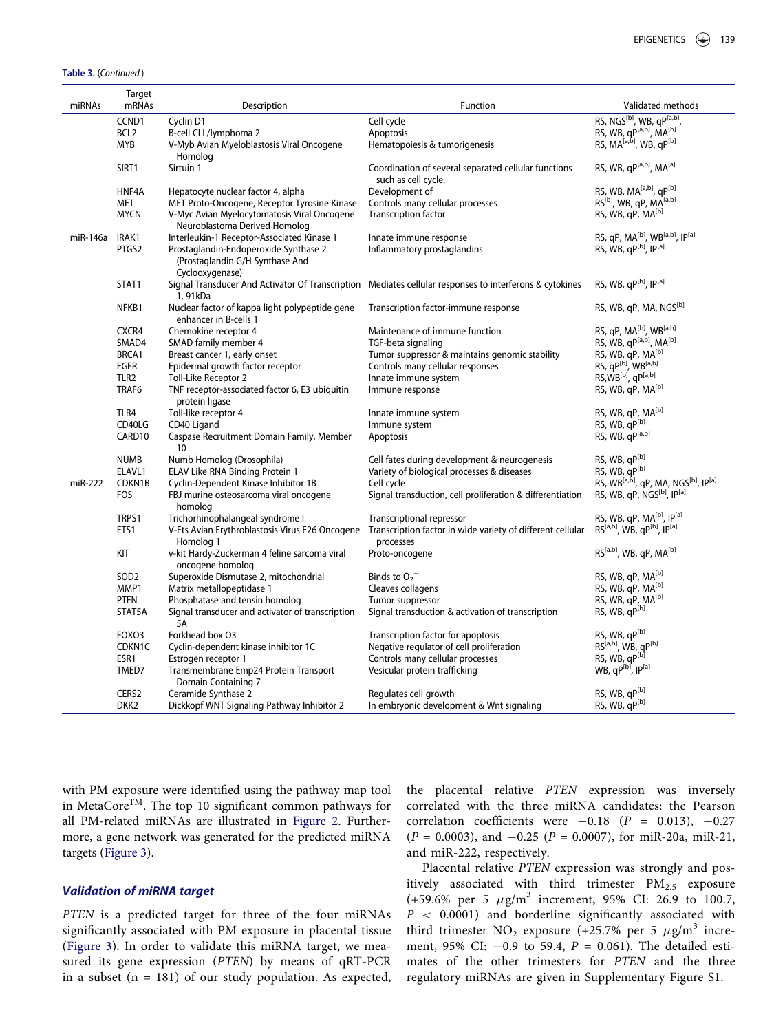Table 3. (Continued )

| miRNAs   | <b>Target</b><br>mRNAs | Description                                                                        | Function                                                                                                | Validated methods                                                        |
|----------|------------------------|------------------------------------------------------------------------------------|---------------------------------------------------------------------------------------------------------|--------------------------------------------------------------------------|
|          |                        |                                                                                    |                                                                                                         |                                                                          |
|          | CCND1                  | Cyclin D1                                                                          | Cell cycle                                                                                              | RS, NGS <sup>[b]</sup> , WB, qP <sup>[a,b]</sup> ,                       |
|          | BCL <sub>2</sub>       | B-cell CLL/lymphoma 2                                                              | Apoptosis                                                                                               | RS, WB, qP <sup>[a,b]</sup> , MA <sup>[b]</sup>                          |
|          | <b>MYB</b>             | V-Myb Avian Myeloblastosis Viral Oncogene                                          | Hematopoiesis & tumorigenesis                                                                           | RS, MA <sup>[a,b]</sup> , WB, qP <sup>[b]</sup>                          |
|          |                        | Homolog                                                                            |                                                                                                         | RS, WB, qP <sup>[a,b]</sup> , MA <sup>[a]</sup>                          |
|          | SIRT1                  | Sirtuin 1                                                                          | Coordination of several separated cellular functions                                                    |                                                                          |
|          | HNF4A                  |                                                                                    | such as cell cycle,                                                                                     | RS, WB, MA <sup>[a,b]</sup> , qP <sup>[b]</sup>                          |
|          | <b>MET</b>             | Hepatocyte nuclear factor 4, alpha<br>MET Proto-Oncogene, Receptor Tyrosine Kinase | Development of<br>Controls many cellular processes                                                      | RS <sup>[b]</sup> , WB, qP, MA <sup>[a,b]</sup>                          |
|          | <b>MYCN</b>            | V-Myc Avian Myelocytomatosis Viral Oncogene                                        | <b>Transcription factor</b>                                                                             | RS, WB, qP, MA <sup>[b]</sup>                                            |
|          |                        | Neuroblastoma Derived Homolog                                                      |                                                                                                         |                                                                          |
| miR-146a | IRAK1                  | Interleukin-1 Receptor-Associated Kinase 1                                         | Innate immune response                                                                                  | RS, qP, MA <sup>[b]</sup> , WB <sup>[a,b]</sup> , IP <sup>[a]</sup>      |
|          | PTGS2                  | Prostaglandin-Endoperoxide Synthase 2                                              | Inflammatory prostaglandins                                                                             | RS, WB, qP[b], IP[a]                                                     |
|          |                        | (Prostaglandin G/H Synthase And                                                    |                                                                                                         |                                                                          |
|          |                        | Cyclooxygenase)                                                                    |                                                                                                         |                                                                          |
|          | STAT1                  |                                                                                    | Signal Transducer And Activator Of Transcription Mediates cellular responses to interferons & cytokines | RS, WB, qP[b], IP[a]                                                     |
|          |                        | 1,91kDa                                                                            |                                                                                                         |                                                                          |
|          | NFKB1                  | Nuclear factor of kappa light polypeptide gene                                     | Transcription factor-immune response                                                                    | RS, WB, qP, MA, NGS <sup>[b]</sup>                                       |
|          |                        | enhancer in B-cells 1                                                              |                                                                                                         |                                                                          |
|          | CXCR4                  | Chemokine receptor 4                                                               | Maintenance of immune function                                                                          | RS, qP, MA <sup>[b]</sup> , WB <sup>[a,b]</sup>                          |
|          | SMAD4                  | SMAD family member 4                                                               | TGF-beta signaling                                                                                      | RS, WB, qP <sup>[a,b]</sup> , MA <sup>[b]</sup>                          |
|          | BRCA1                  | Breast cancer 1, early onset                                                       | Tumor suppressor & maintains genomic stability                                                          | RS, WB, qP, MA <sup>[b]</sup>                                            |
|          | <b>EGFR</b>            | Epidermal growth factor receptor                                                   | Controls many cellular responses                                                                        | RS, qP[b], WB[a,b]                                                       |
|          | TLR <sub>2</sub>       | Toll-Like Receptor 2                                                               | Innate immune system                                                                                    | RS, WB <sup>[b]</sup> , qP <sup>[a,b]</sup>                              |
|          | TRAF6                  | TNF receptor-associated factor 6, E3 ubiquitin<br>protein ligase                   | Immune response                                                                                         | RS, WB, qP, MA <sup>[b]</sup>                                            |
|          | TLR4                   | Toll-like receptor 4                                                               | Innate immune system                                                                                    | RS, WB, qP, MA <sup>[b]</sup>                                            |
|          | CD40LG                 | CD40 Ligand                                                                        | Immune system                                                                                           | RS, WB, qP[b]                                                            |
|          | CARD <sub>10</sub>     | Caspase Recruitment Domain Family, Member                                          | Apoptosis                                                                                               | RS, WB, qP[a,b]                                                          |
|          |                        | 10                                                                                 |                                                                                                         |                                                                          |
|          | <b>NUMB</b>            | Numb Homolog (Drosophila)                                                          | Cell fates during development & neurogenesis                                                            | RS, WB, qP[b]                                                            |
|          | ELAVL1                 | ELAV Like RNA Binding Protein 1                                                    | Variety of biological processes & diseases                                                              | RS, WB, qP[b]                                                            |
| miR-222  | CDKN1B                 | Cyclin-Dependent Kinase Inhibitor 1B                                               | Cell cycle                                                                                              | RS, WB <sup>[a,b]</sup> , qP, MA, NGS <sup>[b]</sup> , IP <sup>[a]</sup> |
|          | <b>FOS</b>             | FBJ murine osteosarcoma viral oncogene<br>homolog                                  | Signal transduction, cell proliferation & differentiation                                               | RS, WB, qP, NGS <sup>[b]</sup> , IP <sup>[a]</sup>                       |
|          | TRPS1                  | Trichorhinophalangeal syndrome I                                                   | <b>Transcriptional repressor</b>                                                                        | RS, WB, qP, MA <sup>[b]</sup> , IP <sup>[a]</sup>                        |
|          | ETS1                   | V-Ets Avian Erythroblastosis Virus E26 Oncogene                                    | Transcription factor in wide variety of different cellular                                              | RS <sup>[a,b]</sup> , WB, qP <sup>[b]</sup> , IP <sup>[a]</sup>          |
|          |                        | Homolog 1                                                                          | processes                                                                                               |                                                                          |
|          | KIT                    | v-kit Hardy-Zuckerman 4 feline sarcoma viral                                       | Proto-oncogene                                                                                          | RS <sup>[a,b]</sup> , WB, qP, MA <sup>[b]</sup>                          |
|          |                        | oncogene homolog                                                                   |                                                                                                         |                                                                          |
|          | SOD <sub>2</sub>       | Superoxide Dismutase 2, mitochondrial                                              | Binds to $O_2$ <sup>-</sup>                                                                             | RS, WB, qP, MA <sup>[b]</sup>                                            |
|          | MMP1                   | Matrix metallopeptidase 1                                                          | Cleaves collagens                                                                                       | RS, WB, qP, MA <sup>[b]</sup>                                            |
|          | <b>PTEN</b>            | Phosphatase and tensin homolog                                                     | Tumor suppressor                                                                                        | RS, WB, qP, MA <sup>[b]</sup>                                            |
|          | STAT5A                 | Signal transducer and activator of transcription<br><b>5A</b>                      | Signal transduction & activation of transcription                                                       | RS, WB, qP[b]                                                            |
|          | FOXO3                  | Forkhead box O3                                                                    | Transcription factor for apoptosis                                                                      | RS, WB, qP[b]                                                            |
|          | CDKN1C                 | Cyclin-dependent kinase inhibitor 1C                                               | Negative regulator of cell proliferation                                                                | RS <sup>[a,b]</sup> , WB, qP <sup>[b]</sup>                              |
|          | ESR1                   | Estrogen receptor 1                                                                | Controls many cellular processes                                                                        | RS, WB, qP[b]                                                            |
|          | TMED7                  | Transmembrane Emp24 Protein Transport                                              | Vesicular protein trafficking                                                                           | WB, qP[b], IP[a]                                                         |
|          |                        | Domain Containing 7                                                                |                                                                                                         |                                                                          |
|          | CERS2                  | Ceramide Synthase 2                                                                | Regulates cell growth                                                                                   | RS, WB, qP[b]                                                            |
|          | DKK <sub>2</sub>       | Dickkopf WNT Signaling Pathway Inhibitor 2                                         | In embryonic development & Wnt signaling                                                                | RS, WB, qP[b]                                                            |
|          |                        |                                                                                    |                                                                                                         |                                                                          |

with PM exposure were identified using the pathway map tool in MetaCoreTM. The top 10 significant common pathways for all PM-related miRNAs are illustrated in [Figure 2](#page-5-1). Furthermore, a gene network was generated for the predicted miRNA targets [\(Figure 3\)](#page-6-0).

# Validation of miRNA target

PTEN is a predicted target for three of the four miRNAs significantly associated with PM exposure in placental tissue [\(Figure 3\)](#page-6-0). In order to validate this miRNA target, we measured its gene expression (PTEN) by means of qRT-PCR in a subset  $(n = 181)$  of our study population. As expected, the placental relative PTEN expression was inversely correlated with the three miRNA candidates: the Pearson correlation coefficients were  $-0.18$  (P = 0.013),  $-0.27$  $(P = 0.0003)$ , and  $-0.25$   $(P = 0.0007)$ , for miR-20a, miR-21, and miR-222, respectively.

Placental relative PTEN expression was strongly and positively associated with third trimester  $PM_{2.5}$  exposure (+59.6% per 5  $\mu$ g/m<sup>3</sup> increment, 95% CI: 26.9 to 100.7,  $P < 0.0001$ ) and borderline significantly associated with third trimester  $NO_2$  exposure (+25.7% per 5  $\mu$ g/m<sup>3</sup> increment, 95% CI:  $-0.9$  to 59.4,  $P = 0.061$ ). The detailed estimates of the other trimesters for PTEN and the three regulatory miRNAs are given in Supplementary Figure S1.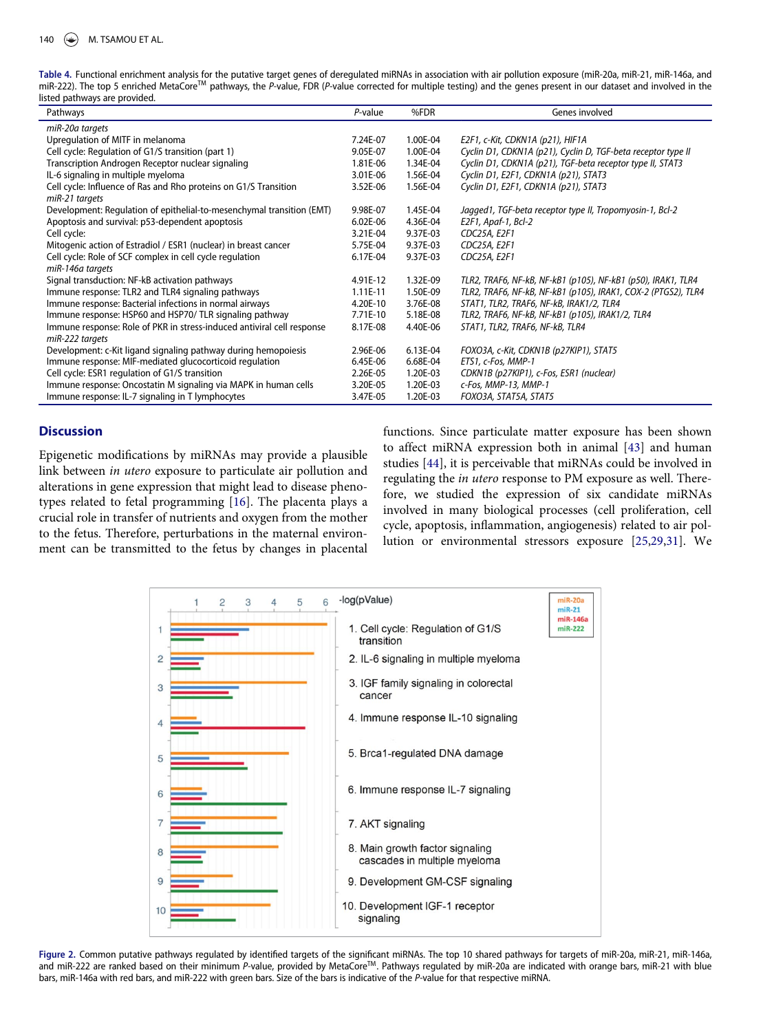<span id="page-5-0"></span>Table 4. Functional enrichment analysis for the putative target genes of deregulated miRNAs in association with air pollution exposure (miR-20a, miR-21, miR-146a, and miR-222). The top 5 enriched MetaCore<sup>™</sup> pathways, the P-value, FDR (P-value corrected for multiple testing) and the genes present in our dataset and involved in the listed pathways are provided.

| Pathways                                                               | $P$ -value | %FDR     | Genes involved                                                |
|------------------------------------------------------------------------|------------|----------|---------------------------------------------------------------|
| miR-20a targets                                                        |            |          |                                                               |
| Upregulation of MITF in melanoma                                       | 7.24E-07   | 1.00E-04 | E2F1, c-Kit, CDKN1A (p21), HIF1A                              |
| Cell cycle: Regulation of G1/S transition (part 1)                     | 9.05E-07   | 1.00E-04 | Cyclin D1, CDKN1A (p21), Cyclin D, TGF-beta receptor type II  |
| Transcription Androgen Receptor nuclear signaling                      | 1.81E-06   | 1.34E-04 | Cyclin D1, CDKN1A (p21), TGF-beta receptor type II, STAT3     |
| IL-6 signaling in multiple myeloma                                     | 3.01E-06   | 1.56E-04 | Cyclin D1, E2F1, CDKN1A (p21), STAT3                          |
| Cell cycle: Influence of Ras and Rho proteins on G1/S Transition       | 3.52E-06   | 1.56E-04 | Cyclin D1, E2F1, CDKN1A (p21), STAT3                          |
| miR-21 targets                                                         |            |          |                                                               |
| Development: Regulation of epithelial-to-mesenchymal transition (EMT)  | 9.98E-07   | 1.45E-04 | Jagged1, TGF-beta receptor type II, Tropomyosin-1, Bcl-2      |
| Apoptosis and survival: p53-dependent apoptosis                        | $6.02E-06$ | 4.36E-04 | E2F1, Apaf-1, Bcl-2                                           |
| Cell cycle:                                                            | 3.21E-04   | 9.37E-03 | CDC25A, E2F1                                                  |
| Mitogenic action of Estradiol / ESR1 (nuclear) in breast cancer        | 5.75E-04   | 9.37E-03 | CDC25A, E2F1                                                  |
| Cell cycle: Role of SCF complex in cell cycle regulation               | 6.17E-04   | 9.37E-03 | CDC25A, E2F1                                                  |
| miR-146a targets                                                       |            |          |                                                               |
| Signal transduction: NF-kB activation pathways                         | 4.91E-12   | 1.32E-09 | TLR2, TRAF6, NF-kB, NF-kB1 (p105), NF-kB1 (p50), IRAK1, TLR4  |
| Immune response: TLR2 and TLR4 signaling pathways                      | $1.11E-11$ | 1.50E-09 | TLR2, TRAF6, NF-kB, NF-kB1 (p105), IRAK1, COX-2 (PTGS2), TLR4 |
| Immune response: Bacterial infections in normal airways                | 4.20E-10   | 3.76E-08 | STAT1, TLR2, TRAF6, NF-kB, IRAK1/2, TLR4                      |
| Immune response: HSP60 and HSP70/ TLR signaling pathway                | 7.71E-10   | 5.18E-08 | TLR2, TRAF6, NF-kB, NF-kB1 (p105), IRAK1/2, TLR4              |
| Immune response: Role of PKR in stress-induced antiviral cell response | 8.17E-08   | 4.40E-06 | STAT1, TLR2, TRAF6, NF-kB, TLR4                               |
| miR-222 targets                                                        |            |          |                                                               |
| Development: c-Kit ligand signaling pathway during hemopoiesis         | 2.96E-06   | 6.13E-04 | FOXO3A, c-Kit, CDKN1B (p27KIP1), STAT5                        |
| Immune response: MIF-mediated glucocorticoid regulation                | 6.45E-06   | 6.68E-04 | ETS1, c-Fos, MMP-1                                            |
| Cell cycle: ESR1 regulation of G1/S transition                         | 2.26E-05   | 1.20E-03 | CDKN1B (p27KIP1), c-Fos, ESR1 (nuclear)                       |
| Immune response: Oncostatin M signaling via MAPK in human cells        | 3.20E-05   | 1.20E-03 | c-Fos, MMP-13, MMP-1                                          |
| Immune response: IL-7 signaling in T lymphocytes                       | 3.47E-05   | 1.20E-03 | FOXO3A, STAT5A, STAT5                                         |

# **Discussion**

<span id="page-5-3"></span><span id="page-5-2"></span>Epigenetic modifications by miRNAs may provide a plausible link between in utero exposure to particulate air pollution and alterations in gene expression that might lead to disease phenotypes related to fetal programming [\[16\]](#page-10-12). The placenta plays a crucial role in transfer of nutrients and oxygen from the mother to the fetus. Therefore, perturbations in the maternal environment can be transmitted to the fetus by changes in placental functions. Since particulate matter exposure has been shown to affect miRNA expression both in animal [[43](#page-11-2)] and human studies [[44](#page-11-3)], it is perceivable that miRNAs could be involved in regulating the in utero response to PM exposure as well. Therefore, we studied the expression of six candidate miRNAs involved in many biological processes (cell proliferation, cell cycle, apoptosis, inflammation, angiogenesis) related to air pollution or environmental stressors exposure [[25](#page-10-17)[,29](#page-10-21)[,31\]](#page-10-23). We

<span id="page-5-1"></span>

Figure 2. Common putative pathways regulated by identified targets of the significant miRNAs. The top 10 shared pathways for targets of miR-20a, miR-21, miR-146a, and miR-222 are ranked based on their minimum P-value, provided by MetaCore™. Pathways regulated by miR-20a are indicated with orange bars, miR-21 with blue bars, miR-146a with red bars, and miR-222 with green bars. Size of the bars is indicative of the P-value for that respective miRNA.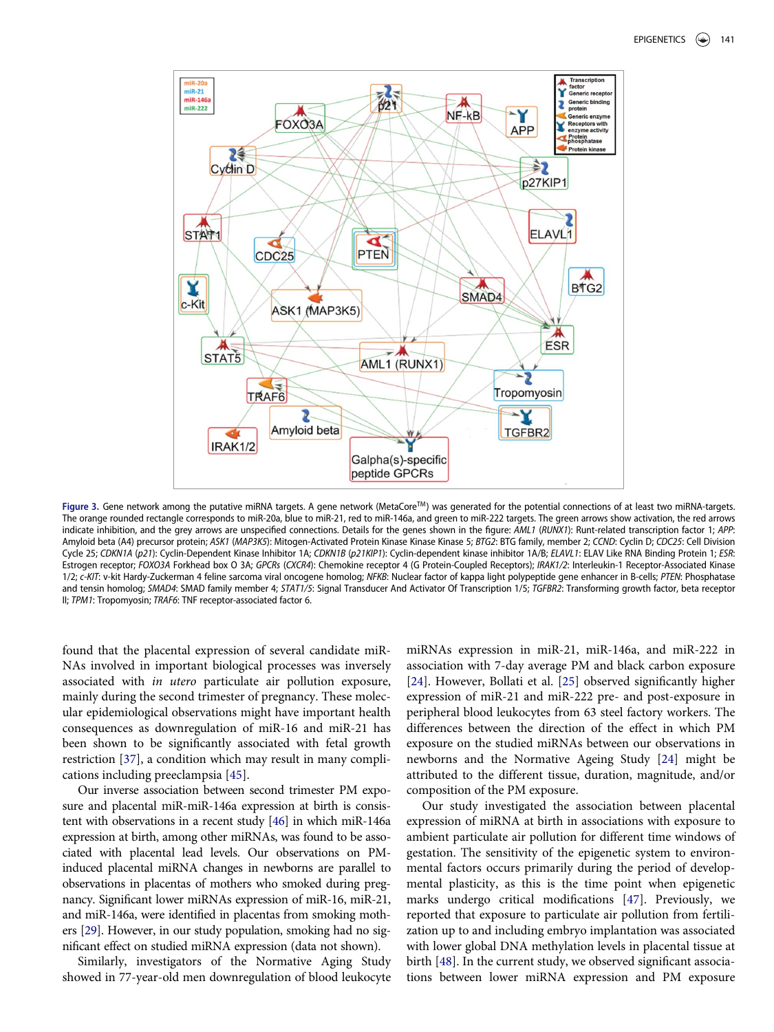<span id="page-6-0"></span>

Figure 3. Gene network among the putative miRNA targets. A gene network (MetaCore™) was generated for the potential connections of at least two miRNA-targets. The orange rounded rectangle corresponds to miR-20a, blue to miR-21, red to miR-146a, and green to miR-222 targets. The green arrows show activation, the red arrows indicate inhibition, and the grey arrows are unspecified connections. Details for the genes shown in the figure: AML1 (RUNX1): Runt-related transcription factor 1; APP: Amyloid beta (A4) precursor protein; ASK1 (MAP3K5): Mitogen-Activated Protein Kinase Kinase Kinase 5; BTG2: BTG family, member 2; CCND: Cyclin D; CDC25: Cell Division Cycle 25; CDKN1A (p21): Cyclin-Dependent Kinase Inhibitor 1A; CDKN1B (p21KIP1): Cyclin-dependent kinase inhibitor 1A/B; ELAVL1: ELAV Like RNA Binding Protein 1; ESR: Estrogen receptor; FOXO3A Forkhead box O 3A; GPCRs (CXCR4): Chemokine receptor 4 (G Protein-Coupled Receptors); IRAK1/2: Interleukin-1 Receptor-Associated Kinase 1/2; c-KIT: v-kit Hardy-Zuckerman 4 feline sarcoma viral oncogene homolog; NFKB: Nuclear factor of kappa light polypeptide gene enhancer in B-cells; PTEN: Phosphatase and tensin homolog; SMAD4: SMAD family member 4; STAT1/5: Signal Transducer And Activator Of Transcription 1/5; TGFBR2: Transforming growth factor, beta receptor II; TPM1: Tropomyosin; TRAF6: TNF receptor-associated factor 6.

found that the placental expression of several candidate miR-NAs involved in important biological processes was inversely associated with in utero particulate air pollution exposure, mainly during the second trimester of pregnancy. These molecular epidemiological observations might have important health consequences as downregulation of miR-16 and miR-21 has been shown to be significantly associated with fetal growth restriction [[37](#page-11-4)], a condition which may result in many complications including preeclampsia [\[45\]](#page-11-5).

<span id="page-6-3"></span><span id="page-6-2"></span><span id="page-6-1"></span>Our inverse association between second trimester PM exposure and placental miR-miR-146a expression at birth is consistent with observations in a recent study [\[46](#page-11-6)] in which miR-146a expression at birth, among other miRNAs, was found to be associated with placental lead levels. Our observations on PMinduced placental miRNA changes in newborns are parallel to observations in placentas of mothers who smoked during pregnancy. Significant lower miRNAs expression of miR-16, miR-21, and miR-146a, were identified in placentas from smoking mothers [\[29](#page-10-21)]. However, in our study population, smoking had no significant effect on studied miRNA expression (data not shown).

<span id="page-6-5"></span><span id="page-6-4"></span>Similarly, investigators of the Normative Aging Study showed in 77-year-old men downregulation of blood leukocyte

miRNAs expression in miR-21, miR-146a, and miR-222 in association with 7-day average PM and black carbon exposure [\[24\]](#page-10-16). However, Bollati et al. [[25](#page-10-17)] observed significantly higher expression of miR-21 and miR-222 pre- and post-exposure in peripheral blood leukocytes from 63 steel factory workers. The differences between the direction of the effect in which PM exposure on the studied miRNAs between our observations in newborns and the Normative Ageing Study [[24](#page-10-16)] might be attributed to the different tissue, duration, magnitude, and/or composition of the PM exposure.

Our study investigated the association between placental expression of miRNA at birth in associations with exposure to ambient particulate air pollution for different time windows of gestation. The sensitivity of the epigenetic system to environmental factors occurs primarily during the period of developmental plasticity, as this is the time point when epigenetic marks undergo critical modifications [\[47\]](#page-11-7). Previously, we reported that exposure to particulate air pollution from fertilization up to and including embryo implantation was associated with lower global DNA methylation levels in placental tissue at birth [\[48\]](#page-11-8). In the current study, we observed significant associations between lower miRNA expression and PM exposure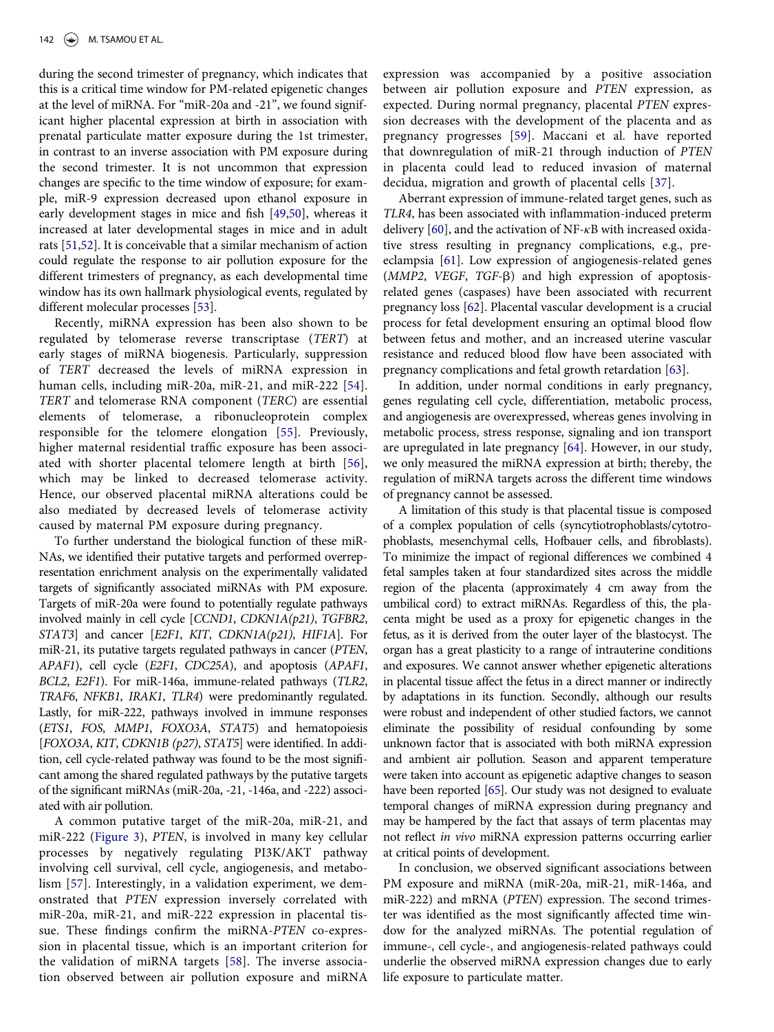<span id="page-7-8"></span>during the second trimester of pregnancy, which indicates that this is a critical time window for PM-related epigenetic changes at the level of miRNA. For "miR-20a and -21", we found significant higher placental expression at birth in association with prenatal particulate matter exposure during the 1st trimester, in contrast to an inverse association with PM exposure during the second trimester. It is not uncommon that expression changes are specific to the time window of exposure; for example, miR-9 expression decreased upon ethanol exposure in early development stages in mice and fish [\[49,](#page-11-9)[50](#page-11-10)], whereas it increased at later developmental stages in mice and in adult rats [\[51,](#page-11-11)[52\]](#page-11-12). It is conceivable that a similar mechanism of action could regulate the response to air pollution exposure for the different trimesters of pregnancy, as each developmental time window has its own hallmark physiological events, regulated by different molecular processes [\[53\]](#page-11-13).

<span id="page-7-12"></span><span id="page-7-11"></span><span id="page-7-10"></span><span id="page-7-9"></span><span id="page-7-4"></span><span id="page-7-3"></span><span id="page-7-2"></span><span id="page-7-1"></span><span id="page-7-0"></span>Recently, miRNA expression has been also shown to be regulated by telomerase reverse transcriptase (TERT) at early stages of miRNA biogenesis. Particularly, suppression of TERT decreased the levels of miRNA expression in human cells, including miR-20a, miR-21, and miR-222 [[54](#page-11-14)]. TERT and telomerase RNA component (TERC) are essential elements of telomerase, a ribonucleoprotein complex responsible for the telomere elongation [\[55](#page-11-15)]. Previously, higher maternal residential traffic exposure has been associated with shorter placental telomere length at birth [[56](#page-11-16)], which may be linked to decreased telomerase activity. Hence, our observed placental miRNA alterations could be also mediated by decreased levels of telomerase activity caused by maternal PM exposure during pregnancy.

<span id="page-7-13"></span><span id="page-7-5"></span>To further understand the biological function of these miR-NAs, we identified their putative targets and performed overrepresentation enrichment analysis on the experimentally validated targets of significantly associated miRNAs with PM exposure. Targets of miR-20a were found to potentially regulate pathways involved mainly in cell cycle [CCND1, CDKN1A(p21), TGFBR2, STAT3] and cancer [E2F1, KIT, CDKN1A(p21), HIF1A]. For miR-21, its putative targets regulated pathways in cancer (PTEN, APAF1), cell cycle (E2F1, CDC25A), and apoptosis (APAF1, BCL2, E2F1). For miR-146a, immune-related pathways (TLR2, TRAF6, NFKB1, IRAK1, TLR4) were predominantly regulated. Lastly, for miR-222, pathways involved in immune responses (ETS1, FOS, MMP1, FOXO3A, STAT5) and hematopoiesis [FOXO3A, KIT, CDKN1B (p27), STAT5] were identified. In addition, cell cycle-related pathway was found to be the most significant among the shared regulated pathways by the putative targets of the significant miRNAs (miR-20a, -21, -146a, and -222) associated with air pollution.

<span id="page-7-14"></span><span id="page-7-7"></span><span id="page-7-6"></span>A common putative target of the miR-20a, miR-21, and miR-222 ([Figure 3](#page-6-0)), PTEN, is involved in many key cellular processes by negatively regulating PI3K/AKT pathway involving cell survival, cell cycle, angiogenesis, and metabolism [\[57\]](#page-11-17). Interestingly, in a validation experiment, we demonstrated that PTEN expression inversely correlated with miR-20a, miR-21, and miR-222 expression in placental tissue. These findings confirm the miRNA-PTEN co-expression in placental tissue, which is an important criterion for the validation of miRNA targets [\[58\]](#page-11-18). The inverse association observed between air pollution exposure and miRNA

expression was accompanied by a positive association between air pollution exposure and PTEN expression, as expected. During normal pregnancy, placental PTEN expression decreases with the development of the placenta and as pregnancy progresses [[59](#page-11-19)]. Maccani et al. have reported that downregulation of miR-21 through induction of PTEN in placenta could lead to reduced invasion of maternal decidua, migration and growth of placental cells [\[37](#page-11-4)].

Aberrant expression of immune-related target genes, such as TLR4, has been associated with inflammation-induced preterm delivery  $[60]$ , and the activation of NF- $\kappa$ B with increased oxidative stress resulting in pregnancy complications, e.g., preeclampsia [[61](#page-11-21)]. Low expression of angiogenesis-related genes  $(MMP2, VEGF, TGF-B)$  and high expression of apoptosisrelated genes (caspases) have been associated with recurrent pregnancy loss [[62](#page-11-22)]. Placental vascular development is a crucial process for fetal development ensuring an optimal blood flow between fetus and mother, and an increased uterine vascular resistance and reduced blood flow have been associated with pregnancy complications and fetal growth retardation [[63](#page-11-23)].

In addition, under normal conditions in early pregnancy, genes regulating cell cycle, differentiation, metabolic process, and angiogenesis are overexpressed, whereas genes involving in metabolic process, stress response, signaling and ion transport are upregulated in late pregnancy [\[64\]](#page-11-24). However, in our study, we only measured the miRNA expression at birth; thereby, the regulation of miRNA targets across the different time windows of pregnancy cannot be assessed.

A limitation of this study is that placental tissue is composed of a complex population of cells (syncytiotrophoblasts/cytotrophoblasts, mesenchymal cells, Hofbauer cells, and fibroblasts). To minimize the impact of regional differences we combined 4 fetal samples taken at four standardized sites across the middle region of the placenta (approximately 4 cm away from the umbilical cord) to extract miRNAs. Regardless of this, the placenta might be used as a proxy for epigenetic changes in the fetus, as it is derived from the outer layer of the blastocyst. The organ has a great plasticity to a range of intrauterine conditions and exposures. We cannot answer whether epigenetic alterations in placental tissue affect the fetus in a direct manner or indirectly by adaptations in its function. Secondly, although our results were robust and independent of other studied factors, we cannot eliminate the possibility of residual confounding by some unknown factor that is associated with both miRNA expression and ambient air pollution. Season and apparent temperature were taken into account as epigenetic adaptive changes to season have been reported [[65\]](#page-11-25). Our study was not designed to evaluate temporal changes of miRNA expression during pregnancy and may be hampered by the fact that assays of term placentas may not reflect in vivo miRNA expression patterns occurring earlier at critical points of development.

In conclusion, we observed significant associations between PM exposure and miRNA (miR-20a, miR-21, miR-146a, and miR-222) and mRNA (PTEN) expression. The second trimester was identified as the most significantly affected time window for the analyzed miRNAs. The potential regulation of immune-, cell cycle-, and angiogenesis-related pathways could underlie the observed miRNA expression changes due to early life exposure to particulate matter.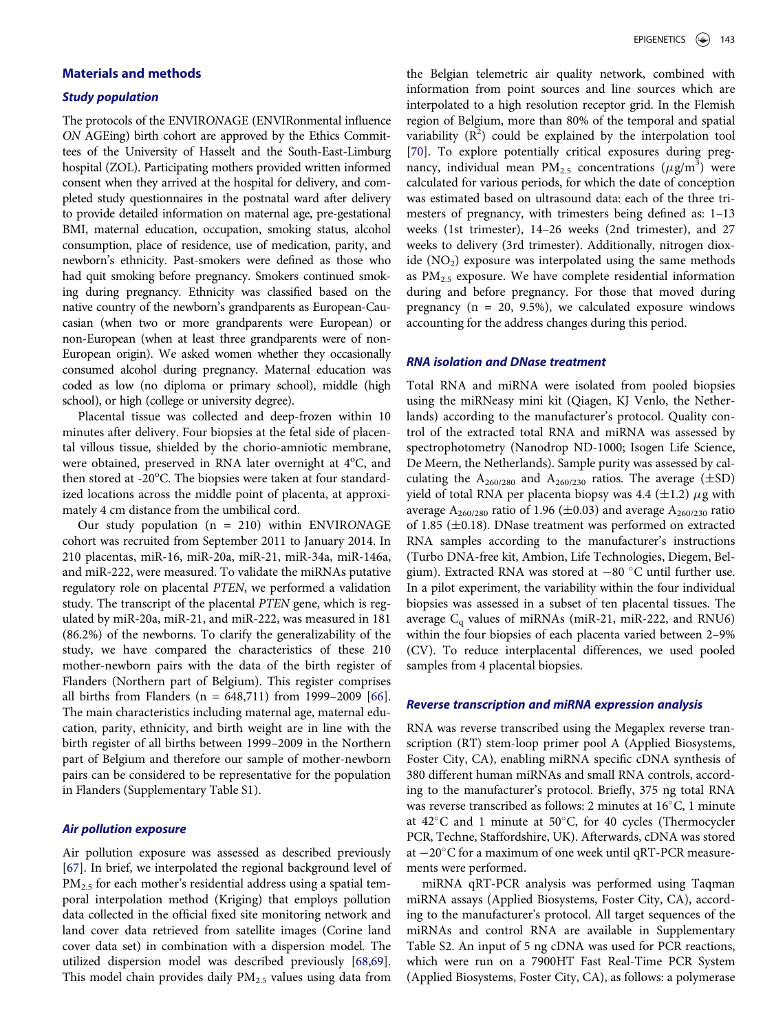# Materials and methods

## Study population

<span id="page-8-3"></span>The protocols of the ENVIRONAGE (ENVIRonmental influence ON AGEing) birth cohort are approved by the Ethics Committees of the University of Hasselt and the South-East-Limburg hospital (ZOL). Participating mothers provided written informed consent when they arrived at the hospital for delivery, and completed study questionnaires in the postnatal ward after delivery to provide detailed information on maternal age, pre-gestational BMI, maternal education, occupation, smoking status, alcohol consumption, place of residence, use of medication, parity, and newborn's ethnicity. Past-smokers were defined as those who had quit smoking before pregnancy. Smokers continued smoking during pregnancy. Ethnicity was classified based on the native country of the newborn's grandparents as European-Caucasian (when two or more grandparents were European) or non-European (when at least three grandparents were of non-European origin). We asked women whether they occasionally consumed alcohol during pregnancy. Maternal education was coded as low (no diploma or primary school), middle (high school), or high (college or university degree).

Placental tissue was collected and deep-frozen within 10 minutes after delivery. Four biopsies at the fetal side of placental villous tissue, shielded by the chorio-amniotic membrane, were obtained, preserved in RNA later overnight at 4°C, and then stored at -20°C. The biopsies were taken at four standardized locations across the middle point of placenta, at approximately 4 cm distance from the umbilical cord.

Our study population  $(n = 210)$  within ENVIRONAGE cohort was recruited from September 2011 to January 2014. In 210 placentas, miR-16, miR-20a, miR-21, miR-34a, miR-146a, and miR-222, were measured. To validate the miRNAs putative regulatory role on placental PTEN, we performed a validation study. The transcript of the placental PTEN gene, which is regulated by miR-20a, miR-21, and miR-222, was measured in 181 (86.2%) of the newborns. To clarify the generalizability of the study, we have compared the characteristics of these 210 mother-newborn pairs with the data of the birth register of Flanders (Northern part of Belgium). This register comprises all births from Flanders (n = 648,711) from 1999–2009 [[66](#page-11-26)]. The main characteristics including maternal age, maternal education, parity, ethnicity, and birth weight are in line with the birth register of all births between 1999–2009 in the Northern part of Belgium and therefore our sample of mother-newborn pairs can be considered to be representative for the population in Flanders (Supplementary Table S1).

# <span id="page-8-0"></span>Air pollution exposure

<span id="page-8-2"></span><span id="page-8-1"></span>Air pollution exposure was assessed as described previously [\[67\]](#page-11-27). In brief, we interpolated the regional background level of PM<sub>2.5</sub> for each mother's residential address using a spatial temporal interpolation method (Kriging) that employs pollution data collected in the official fixed site monitoring network and land cover data retrieved from satellite images (Corine land cover data set) in combination with a dispersion model. The utilized dispersion model was described previously [\[68,](#page-11-28)[69](#page-11-29)]. This model chain provides daily  $PM_{2.5}$  values using data from the Belgian telemetric air quality network, combined with information from point sources and line sources which are interpolated to a high resolution receptor grid. In the Flemish region of Belgium, more than 80% of the temporal and spatial variability  $(R^2)$  could be explained by the interpolation tool [\[70\]](#page-11-30). To explore potentially critical exposures during pregnancy, individual mean  $PM_{2.5}$  concentrations  $(\mu g/m^3)$  were calculated for various periods, for which the date of conception was estimated based on ultrasound data: each of the three trimesters of pregnancy, with trimesters being defined as: 1–13 weeks (1st trimester), 14–26 weeks (2nd trimester), and 27 weeks to delivery (3rd trimester). Additionally, nitrogen dioxide  $(NO<sub>2</sub>)$  exposure was interpolated using the same methods as  $PM<sub>2.5</sub>$  exposure. We have complete residential information during and before pregnancy. For those that moved during pregnancy ( $n = 20, 9.5\%$ ), we calculated exposure windows accounting for the address changes during this period.

#### RNA isolation and DNase treatment

Total RNA and miRNA were isolated from pooled biopsies using the miRNeasy mini kit (Qiagen, KJ Venlo, the Netherlands) according to the manufacturer's protocol. Quality control of the extracted total RNA and miRNA was assessed by spectrophotometry (Nanodrop ND-1000; Isogen Life Science, De Meern, the Netherlands). Sample purity was assessed by calculating the  $A_{260/280}$  and  $A_{260/230}$  ratios. The average ( $\pm$ SD) yield of total RNA per placenta biopsy was 4.4 ( $\pm$ 1.2)  $\mu$ g with average  $A_{260/280}$  ratio of 1.96 ( $\pm$ 0.03) and average  $A_{260/230}$  ratio of 1.85 ( $\pm$ 0.18). DNase treatment was performed on extracted RNA samples according to the manufacturer's instructions (Turbo DNA-free kit, Ambion, Life Technologies, Diegem, Belgium). Extracted RNA was stored at  $-80$  °C until further use. In a pilot experiment, the variability within the four individual biopsies was assessed in a subset of ten placental tissues. The average  $C_q$  values of miRNAs (miR-21, miR-222, and RNU6) within the four biopsies of each placenta varied between 2–9% (CV). To reduce interplacental differences, we used pooled samples from 4 placental biopsies.

#### Reverse transcription and miRNA expression analysis

RNA was reverse transcribed using the Megaplex reverse transcription (RT) stem-loop primer pool A (Applied Biosystems, Foster City, CA), enabling miRNA specific cDNA synthesis of 380 different human miRNAs and small RNA controls, according to the manufacturer's protocol. Briefly, 375 ng total RNA was reverse transcribed as follows: 2 minutes at  $16^{\circ}$ C, 1 minute at  $42^{\circ}$ C and 1 minute at  $50^{\circ}$ C, for 40 cycles (Thermocycler PCR, Techne, Staffordshire, UK). Afterwards, cDNA was stored at  $-20^{\circ}$ C for a maximum of one week until qRT-PCR measurements were performed.

miRNA qRT-PCR analysis was performed using Taqman miRNA assays (Applied Biosystems, Foster City, CA), according to the manufacturer's protocol. All target sequences of the miRNAs and control RNA are available in Supplementary Table S2. An input of 5 ng cDNA was used for PCR reactions, which were run on a 7900HT Fast Real-Time PCR System (Applied Biosystems, Foster City, CA), as follows: a polymerase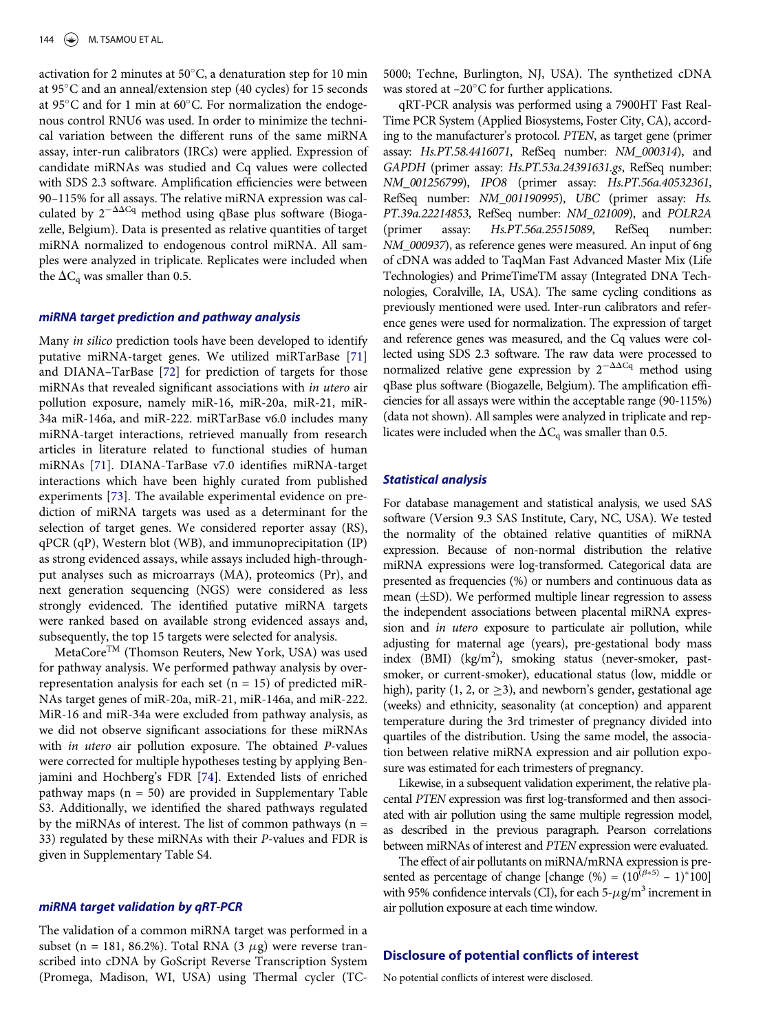activation for 2 minutes at  $50^{\circ}$ C, a denaturation step for 10 min at  $95^{\circ}$ C and an anneal/extension step (40 cycles) for 15 seconds at 95 $\degree$ C and for 1 min at 60 $\degree$ C. For normalization the endogenous control RNU6 was used. In order to minimize the technical variation between the different runs of the same miRNA assay, inter-run calibrators (IRCs) were applied. Expression of candidate miRNAs was studied and Cq values were collected with SDS 2.3 software. Amplification efficiencies were between 90–115% for all assays. The relative miRNA expression was calculated by  $2^{-\Delta\Delta Cq}$  method using qBase plus software (Biogazelle, Belgium). Data is presented as relative quantities of target miRNA normalized to endogenous control miRNA. All samples were analyzed in triplicate. Replicates were included when the  $\Delta C_{\rm q}$  was smaller than 0.5.

#### miRNA target prediction and pathway analysis

<span id="page-9-2"></span><span id="page-9-1"></span><span id="page-9-0"></span>Many in silico prediction tools have been developed to identify putative miRNA-target genes. We utilized miRTarBase [\[71\]](#page-11-31) and DIANA–TarBase [\[72\]](#page-11-32) for prediction of targets for those miRNAs that revealed significant associations with in utero air pollution exposure, namely miR-16, miR-20a, miR-21, miR-34a miR-146a, and miR-222. miRTarBase v6.0 includes many miRNA-target interactions, retrieved manually from research articles in literature related to functional studies of human miRNAs [\[71\]](#page-11-31). DIANA-TarBase v7.0 identifies miRNA-target interactions which have been highly curated from published experiments [\[73\]](#page-11-33). The available experimental evidence on prediction of miRNA targets was used as a determinant for the selection of target genes. We considered reporter assay (RS), qPCR (qP), Western blot (WB), and immunoprecipitation (IP) as strong evidenced assays, while assays included high-throughput analyses such as microarrays (MA), proteomics (Pr), and next generation sequencing (NGS) were considered as less strongly evidenced. The identified putative miRNA targets were ranked based on available strong evidenced assays and, subsequently, the top 15 targets were selected for analysis.

<span id="page-9-3"></span>MetaCoreTM (Thomson Reuters, New York, USA) was used for pathway analysis. We performed pathway analysis by overrepresentation analysis for each set  $(n = 15)$  of predicted miR-NAs target genes of miR-20a, miR-21, miR-146a, and miR-222. MiR-16 and miR-34a were excluded from pathway analysis, as we did not observe significant associations for these miRNAs with *in utero* air pollution exposure. The obtained *P*-values were corrected for multiple hypotheses testing by applying Benjamini and Hochberg's FDR [[74](#page-11-34)]. Extended lists of enriched pathway maps  $(n = 50)$  are provided in Supplementary Table S3. Additionally, we identified the shared pathways regulated by the miRNAs of interest. The list of common pathways  $(n =$ 33) regulated by these miRNAs with their P-values and FDR is given in Supplementary Table S4.

#### miRNA target validation by qRT-PCR

The validation of a common miRNA target was performed in a subset (n = 181, 86.2%). Total RNA (3  $\mu$ g) were reverse transcribed into cDNA by GoScript Reverse Transcription System (Promega, Madison, WI, USA) using Thermal cycler (TC-

5000; Techne, Burlington, NJ, USA). The synthetized cDNA was stored at  $-20^{\circ}$ C for further applications.

qRT-PCR analysis was performed using a 7900HT Fast Real-Time PCR System (Applied Biosystems, Foster City, CA), according to the manufacturer's protocol. PTEN, as target gene (primer assay: Hs.PT.58.4416071, RefSeq number: NM\_000314), and GAPDH (primer assay: Hs.PT.53a.24391631.gs, RefSeq number: NM\_001256799), IPO8 (primer assay: Hs.PT.56a.40532361, RefSeq number: NM\_001190995), UBC (primer assay: Hs. PT.39a.22214853, RefSeq number: NM\_021009), and POLR2A (primer assay: Hs.PT.56a.25515089, RefSeq number: (primer assay: *Hs.PT.56a.25515089*, RefSeq number:<br>*NM 000937*) as reference genes were measured. An input of 6ng NM\_000937), as reference genes were measured. An input of 6ng of cDNA was added to TaqMan Fast Advanced Master Mix (Life Technologies) and PrimeTimeTM assay (Integrated DNA Technologies, Coralville, IA, USA). The same cycling conditions as previously mentioned were used. Inter-run calibrators and reference genes were used for normalization. The expression of target and reference genes was measured, and the Cq values were collected using SDS 2.3 software. The raw data were processed to normalized relative gene expression by  $2^{-\Delta\Delta Cq}$  method using qBase plus software (Biogazelle, Belgium). The amplification efficiencies for all assays were within the acceptable range (90-115%) (data not shown). All samples were analyzed in triplicate and replicates were included when the  $\Delta C_q$  was smaller than 0.5.

# Statistical analysis

For database management and statistical analysis, we used SAS software (Version 9.3 SAS Institute, Cary, NC, USA). We tested the normality of the obtained relative quantities of miRNA expression. Because of non-normal distribution the relative miRNA expressions were log-transformed. Categorical data are presented as frequencies (%) or numbers and continuous data as mean  $(\pm SD)$ . We performed multiple linear regression to assess the independent associations between placental miRNA expression and in utero exposure to particulate air pollution, while adjusting for maternal age (years), pre-gestational body mass index (BMI) (kg/m<sup>2</sup>), smoking status (never-smoker, pastsmoker, or current-smoker), educational status (low, middle or high), parity (1, 2, or  $\geq$ 3), and newborn's gender, gestational age (weeks) and ethnicity, seasonality (at conception) and apparent temperature during the 3rd trimester of pregnancy divided into quartiles of the distribution. Using the same model, the association between relative miRNA expression and air pollution exposure was estimated for each trimesters of pregnancy.

Likewise, in a subsequent validation experiment, the relative placental PTEN expression was first log-transformed and then associated with air pollution using the same multiple regression model, as described in the previous paragraph. Pearson correlations between miRNAs of interest and PTEN expression were evaluated.

The effect of air pollutants on miRNA/mRNA expression is presented as percentage of change [change (%) =  $(10^{(\beta*5)} - 1)^*100$ ] with 95% confidence intervals (CI), for each  $5-\mu g/m^3$  increment in air pollution exposure at each time window.

#### Disclosure of potential conflicts of interest

No potential conflicts of interest were disclosed.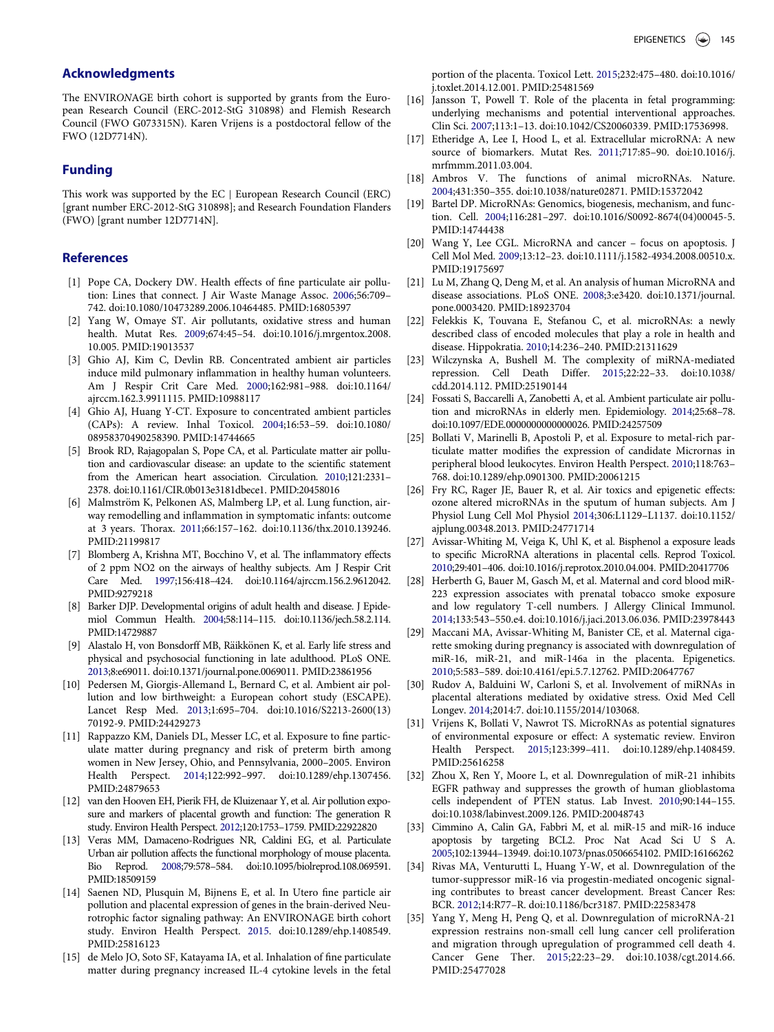# Acknowledgments

<span id="page-10-12"></span>The ENVIRONAGE birth cohort is supported by grants from the European Research Council (ERC-2012-StG 310898) and Flemish Research Council (FWO G073315N). Karen Vrijens is a postdoctoral fellow of the FWO (12D7714N).

## <span id="page-10-13"></span>Funding

This work was supported by the EC j European Research Council (ERC) [grant number ERC-2012-StG 310898]; and Research Foundation Flanders (FWO) [grant number 12D7714N].

## <span id="page-10-0"></span>**References**

- [1] Pope CA, Dockery DW. Health effects of fine particulate air pollution: Lines that connect. J Air Waste Manage Assoc. [2006;](#page-0-3)56:709– 742. doi[:10.1080/10473289.2006.10464485.](https://doi.org/10.1080/10473289.2006.10464485) PMID:[16805397](https://www.ncbi.nlm.nih.gov/pubmed/16805397)
- <span id="page-10-14"></span><span id="page-10-1"></span>[2] Yang W, Omaye ST. Air pollutants, oxidative stress and human health. Mutat Res. [2009;](#page-0-4)674:45–54. doi[:10.1016/j.mrgentox.2008.](https://doi.org/10.1016/j.mrgentox.2008.<?re3j?>10.005) [10.005.](https://doi.org/10.1016/j.mrgentox.2008.<?re3j?>10.005) PMID:[19013537](https://www.ncbi.nlm.nih.gov/pubmed/19013537)
- <span id="page-10-15"></span><span id="page-10-2"></span>[3] Ghio AJ, Kim C, Devlin RB. Concentrated ambient air particles induce mild pulmonary inflammation in healthy human volunteers. Am J Respir Crit Care Med. [2000;](#page-0-4)162:981–988. doi[:10.1164/](https://doi.org/10.1164/ajrccm.162.3.9911115) [ajrccm.162.3.9911115](https://doi.org/10.1164/ajrccm.162.3.9911115). PMID[:10988117](https://www.ncbi.nlm.nih.gov/pubmed/10988117)
- <span id="page-10-16"></span><span id="page-10-3"></span>[4] Ghio AJ, Huang Y-CT. Exposure to concentrated ambient particles (CAPs): A review. Inhal Toxicol. [2004;](#page-0-5)16:53–59. doi[:10.1080/](https://doi.org/10.1080/08958370490258390) [08958370490258390](https://doi.org/10.1080/08958370490258390). PMID[:14744665](https://www.ncbi.nlm.nih.gov/pubmed/14744665)
- <span id="page-10-25"></span><span id="page-10-17"></span>[5] Brook RD, Rajagopalan S, Pope CA, et al. Particulate matter air pollution and cardiovascular disease: an update to the scientific statement from the American heart association. Circulation. [2010;](#page-1-1)121:2331– 2378. doi[:10.1161/CIR.0b013e3181dbece1.](https://doi.org/10.1161/CIR.0b013e3181dbece1) PMID[:20458016](https://www.ncbi.nlm.nih.gov/pubmed/20458016)
- <span id="page-10-18"></span>[6] Malmström K, Pelkonen AS, Malmberg LP, et al. Lung function, airway remodelling and inflammation in symptomatic infants: outcome at 3 years. Thorax. 2011;66:157–162. doi:[10.1136/thx.2010.139246](https://doi.org/10.1136/thx.2010.139246). PMID:[21199817](https://www.ncbi.nlm.nih.gov/pubmed/21199817)
- <span id="page-10-20"></span><span id="page-10-19"></span>[7] Blomberg A, Krishna MT, Bocchino V, et al. The inflammatory effects of 2 ppm NO2 on the airways of healthy subjects. Am J Respir Crit Care Med. 1997;156:418–424. doi[:10.1164/ajrccm.156.2.9612042](https://doi.org/10.1164/ajrccm.156.2.9612042). PMID[:9279218](https://www.ncbi.nlm.nih.gov/pubmed/9279218)
- <span id="page-10-4"></span>[8] Barker DJP. Developmental origins of adult health and disease. J Epidemiol Commun Health. [2004](#page-0-6);58:114–115. doi[:10.1136/jech.58.2.114](https://doi.org/10.1136/jech.58.2.114). PMID:[14729887](https://www.ncbi.nlm.nih.gov/pubmed/14729887)
- <span id="page-10-21"></span><span id="page-10-5"></span>[9] Alastalo H, von Bonsdorff MB, Räikkönen K, et al. Early life stress and physical and psychosocial functioning in late adulthood. PLoS ONE. [2013](#page-0-6);8:e69011. doi[:10.1371/journal.pone.0069011](https://doi.org/10.1371/journal.pone.0069011). PMID:[23861956](https://www.ncbi.nlm.nih.gov/pubmed/23861956)
- <span id="page-10-22"></span><span id="page-10-6"></span>[10] Pedersen M, Giorgis-Allemand L, Bernard C, et al. Ambient air pollution and low birthweight: a European cohort study (ESCAPE). Lancet Resp Med. [2013;](#page-0-7)1:695–704. doi:[10.1016/S2213-2600\(13\)](https://doi.org/10.1016/S2213-2600(13)70192-9) [70192-9.](https://doi.org/10.1016/S2213-2600(13)70192-9) PMID:[24429273](https://www.ncbi.nlm.nih.gov/pubmed/24429273)
- <span id="page-10-23"></span><span id="page-10-7"></span>[11] Rappazzo KM, Daniels DL, Messer LC, et al. Exposure to fine particulate matter during pregnancy and risk of preterm birth among women in New Jersey, Ohio, and Pennsylvania, 2000–2005. Environ Health Perspect. [2014](#page-0-8);122:992–997. doi:[10.1289/ehp.1307456](https://doi.org/10.1289/ehp.1307456). PMID[:24879653](https://www.ncbi.nlm.nih.gov/pubmed/24879653)
- <span id="page-10-24"></span><span id="page-10-8"></span>[12] van den Hooven EH, Pierik FH, de Kluizenaar Y, et al. Air pollution exposure and markers of placental growth and function: The generation R study. Environ Health Perspect. [2012](#page-1-1);120:1753–1759. PMID:[22922820](https://www.ncbi.nlm.nih.gov/pubmed/22922820)
- <span id="page-10-9"></span>[13] Veras MM, Damaceno-Rodrigues NR, Caldini EG, et al. Particulate Urban air pollution affects the functional morphology of mouse placenta. Bio Reprod. [2008](#page-1-2);79:578–584. doi:[10.1095/biolreprod.108.069591](https://doi.org/10.1095/biolreprod.108.069591). PMID[:18509159](https://www.ncbi.nlm.nih.gov/pubmed/18509159)
- <span id="page-10-10"></span>[14] Saenen ND, Plusquin M, Bijnens E, et al. In Utero fine particle air pollution and placental expression of genes in the brain-derived Neurotrophic factor signaling pathway: An ENVIRONAGE birth cohort study. Environ Health Perspect. [2015](#page-1-3). doi:[10.1289/ehp.1408549](https://doi.org/10.1289/ehp.1408549). PMID[:25816123](https://www.ncbi.nlm.nih.gov/pubmed/25816123)
- <span id="page-10-11"></span>[15] de Melo JO, Soto SF, Katayama IA, et al. Inhalation of fine particulate matter during pregnancy increased IL-4 cytokine levels in the fetal

portion of the placenta. Toxicol Lett. [2015;](#page-1-3)232:475–480. doi[:10.1016/](https://doi.org/10.1016/j.toxlet.2014.12.001) [j.toxlet.2014.12.001](https://doi.org/10.1016/j.toxlet.2014.12.001). PMID[:25481569](https://www.ncbi.nlm.nih.gov/pubmed/25481569)

- [16] Jansson T, Powell T. Role of the placenta in fetal programming: underlying mechanisms and potential interventional approaches. Clin Sci. [2007;](#page-1-4)113:1–13. doi:[10.1042/CS20060339.](https://doi.org/10.1042/CS20060339) PMID:[17536998](https://www.ncbi.nlm.nih.gov/pubmed/17536998).
- [17] Etheridge A, Lee I, Hood L, et al. Extracellular microRNA: A new source of biomarkers. Mutat Res. [2011](#page-1-5);717:85–90. doi[:10.1016/j.](https://doi.org/10.1016/j.mrfmmm.2011.03.004) [mrfmmm.2011.03.004.](https://doi.org/10.1016/j.mrfmmm.2011.03.004)
- [18] Ambros V. The functions of animal microRNAs. Nature. 2004;431:350–355. doi:[10.1038/nature02871.](https://doi.org/10.1038/nature02871) PMID:[15372042](https://www.ncbi.nlm.nih.gov/pubmed/15372042)
- [19] Bartel DP. MicroRNAs: Genomics, biogenesis, mechanism, and function. Cell. 2004;116:281–297. doi:[10.1016/S0092-8674\(04\)00045-5](https://doi.org/10.1016/S0092-8674(04)00045-5). PMID:[14744438](https://www.ncbi.nlm.nih.gov/pubmed/14744438)
- [20] Wang Y, Lee CGL. MicroRNA and cancer focus on apoptosis. J Cell Mol Med. 2009;13:12–23. doi:[10.1111/j.1582-4934.2008.00510.x](https://doi.org/10.1111/j.1582-4934.2008.00510.x). PMID:[19175697](https://www.ncbi.nlm.nih.gov/pubmed/19175697)
- [21] Lu M, Zhang Q, Deng M, et al. An analysis of human MicroRNA and disease associations. PLoS ONE. 2008;3:e3420. doi[:10.1371/journal.](https://doi.org/10.1371/journal.pone.0003420) [pone.0003420](https://doi.org/10.1371/journal.pone.0003420). PMID[:18923704](https://www.ncbi.nlm.nih.gov/pubmed/18923704)
- [22] Felekkis K, Touvana E, Stefanou C, et al. microRNAs: a newly described class of encoded molecules that play a role in health and disease. Hippokratia. [2010](#page-1-6);14:236–240. PMID:[21311629](https://www.ncbi.nlm.nih.gov/pubmed/21311629)
- [23] Wilczynska A, Bushell M. The complexity of miRNA-mediated repression. Cell Death Differ. [2015;](#page-1-7)22:22–33. doi[:10.1038/](https://doi.org/10.1038/cdd.2014.112) [cdd.2014.112.](https://doi.org/10.1038/cdd.2014.112) PMID:[25190144](https://www.ncbi.nlm.nih.gov/pubmed/25190144)
- [24] Fossati S, Baccarelli A, Zanobetti A, et al. Ambient particulate air pollution and microRNAs in elderly men. Epidemiology. [2014](#page-1-8);25:68–78. doi:[10.1097/EDE.0000000000000026.](https://doi.org/10.1097/EDE.0000000000000026) PMID[:24257509](https://www.ncbi.nlm.nih.gov/pubmed/24257509)
- [25] Bollati V, Marinelli B, Apostoli P, et al. Exposure to metal-rich particulate matter modifies the expression of candidate Micrornas in peripheral blood leukocytes. Environ Health Perspect. [2010;](#page-1-9)118:763– 768. doi[:10.1289/ehp.0901300.](https://doi.org/10.1289/ehp.0901300) PMID:[20061215](https://www.ncbi.nlm.nih.gov/pubmed/20061215)
- [26] Fry RC, Rager JE, Bauer R, et al. Air toxics and epigenetic effects: ozone altered microRNAs in the sputum of human subjects. Am J Physiol Lung Cell Mol Physiol [2014](#page-1-10);306:L1129–L1137. doi[:10.1152/](https://doi.org/10.1152/ajplung.00348.2013) [ajplung.00348.2013.](https://doi.org/10.1152/ajplung.00348.2013) PMID:[24771714](https://www.ncbi.nlm.nih.gov/pubmed/24771714)
- [27] Avissar-Whiting M, Veiga K, Uhl K, et al. Bisphenol a exposure leads to specific MicroRNA alterations in placental cells. Reprod Toxicol. [2010](#page-1-11);29:401–406. doi[:10.1016/j.reprotox.2010.04.004.](https://doi.org/10.1016/j.reprotox.2010.04.004) PMID[:20417706](https://www.ncbi.nlm.nih.gov/pubmed/20417706)
- [28] Herberth G, Bauer M, Gasch M, et al. Maternal and cord blood miR-223 expression associates with prenatal tobacco smoke exposure and low regulatory T-cell numbers. J Allergy Clinical Immunol. [2014;](#page-1-11)133:543–550.e4. doi[:10.1016/j.jaci.2013.06.036.](https://doi.org/10.1016/j.jaci.2013.06.036) PMID:[23978443](https://www.ncbi.nlm.nih.gov/pubmed/23978443)
- [29] Maccani MA, Avissar-Whiting M, Banister CE, et al. Maternal cigarette smoking during pregnancy is associated with downregulation of miR-16, miR-21, and miR-146a in the placenta. Epigenetics. [2010;](#page-1-12)5:583–589. doi:[10.4161/epi.5.7.12762.](https://doi.org/10.4161/epi.5.7.12762) PMID:[20647767](https://www.ncbi.nlm.nih.gov/pubmed/20647767)
- [30] Rudov A, Balduini W, Carloni S, et al. Involvement of miRNAs in placental alterations mediated by oxidative stress. Oxid Med Cell Longev. [2014](#page-1-13);2014:7. doi:[10.1155/2014/103068.](https://doi.org/10.1155/2014/103068)
- [31] Vrijens K, Bollati V, Nawrot TS. MicroRNAs as potential signatures of environmental exposure or effect: A systematic review. Environ Health Perspect. [2015](#page-1-14);123:399–411. doi:[10.1289/ehp.1408459](https://doi.org/10.1289/ehp.1408459). PMID:[25616258](https://www.ncbi.nlm.nih.gov/pubmed/25616258)
- [32] Zhou X, Ren Y, Moore L, et al. Downregulation of miR-21 inhibits EGFR pathway and suppresses the growth of human glioblastoma cells independent of PTEN status. Lab Invest. [2010;](#page-1-15)90:144–155. doi[:10.1038/labinvest.2009.126.](https://doi.org/10.1038/labinvest.2009.126) PMID[:20048743](https://www.ncbi.nlm.nih.gov/pubmed/20048743)
- [33] Cimmino A, Calin GA, Fabbri M, et al. miR-15 and miR-16 induce apoptosis by targeting BCL2. Proc Nat Acad Sci U S A. 2005;102:13944–13949. doi:[10.1073/pnas.0506654102](https://doi.org/10.1073/pnas.0506654102). PMID:[16166262](https://www.ncbi.nlm.nih.gov/pubmed/16166262)
- [34] Rivas MA, Venturutti L, Huang Y-W, et al. Downregulation of the tumor-suppressor miR-16 via progestin-mediated oncogenic signaling contributes to breast cancer development. Breast Cancer Res: BCR. 2012;14:R77–R. doi:[10.1186/bcr3187.](https://doi.org/10.1186/bcr3187) PMID:[22583478](https://www.ncbi.nlm.nih.gov/pubmed/22583478)
- [35] Yang Y, Meng H, Peng Q, et al. Downregulation of microRNA-21 expression restrains non-small cell lung cancer cell proliferation and migration through upregulation of programmed cell death 4. Cancer Gene Ther. 2015;22:23–29. doi[:10.1038/cgt.2014.66](https://doi.org/10.1038/cgt.2014.66). PMID:[25477028](https://www.ncbi.nlm.nih.gov/pubmed/25477028)